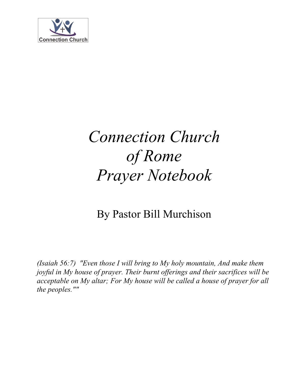

# By Pastor Bill Murchison

*(Isaiah 56:7) "Even those I will bring to My holy mountain, And make them joyful in My house of prayer. Their burnt offerings and their sacrifices will be acceptable on My altar; For My house will be called a house of prayer for all the peoples.""*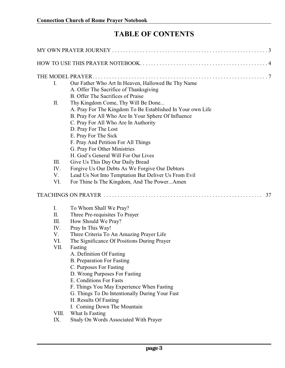# **TABLE OF CONTENTS**

| I.    | Our Father Who Art In Heaven, Hallowed Be Thy Name           |
|-------|--------------------------------------------------------------|
|       | A. Offer The Sacrifice of Thanksgiving                       |
|       | B. Offer The Sacrifices of Praise                            |
| II.   | Thy Kingdom Come, Thy Will Be Done                           |
|       | A. Pray For The Kingdom To Be Established In Your own Life   |
|       | B. Pray For All Who Are In Your Sphere Of Influence          |
|       | C. Pray For All Who Are In Authority<br>D. Pray For The Lost |
|       | E. Pray For The Sick                                         |
|       | F. Pray And Petition For All Things                          |
|       | G. Pray For Other Ministries                                 |
|       | H. God's General Will For Our Lives                          |
| III.  | Give Us This Day Our Daily Bread                             |
| IV.   | Forgive Us Our Debts As We Forgive Our Debtors               |
| V.    | Lead Us Not Into Temptation But Deliver Us From Evil         |
| VI.   | For Thine Is The Kingdom, And The PowerAmen                  |
|       | 37                                                           |
| Ι.    | To Whom Shall We Pray?                                       |
| II.   | Three Pre-requisites To Prayer                               |
| III.  | How Should We Pray?                                          |
| IV.   | Pray In This Way!                                            |
| V.    | Three Criteria To An Amazing Prayer Life                     |
| VI.   | The Significance Of Positions During Prayer                  |
| VII.  | Fasting                                                      |
|       | A. Definition Of Fasting                                     |
|       | <b>B.</b> Preparation For Fasting                            |
|       | C. Purposes For Fasting                                      |
|       | D. Wrong Purposes For Fasting<br>E. Conditions For Fasts     |
|       | F. Things You May Experience When Fasting                    |
|       | G. Things To Do Intentionally During Your Fast               |
|       | H. Results Of Fasting                                        |
|       | I. Coming Down The Mountain                                  |
| VIII. | What Is Fasting                                              |
| IX.   | Study On Words Associated With Prayer                        |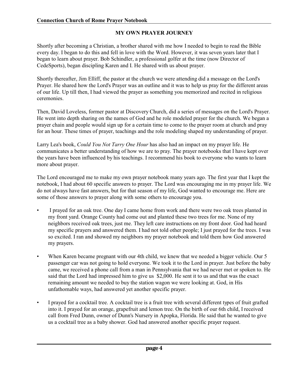#### **MY OWN PRAYER JOURNEY**

Shortly after becoming a Christian, a brother shared with me how I needed to begin to read the Bible every day. I began to do this and fell in love with the Word. However, it was seven years later that I began to learn about prayer. Bob Schindler, a professional golfer at the time (now Director of CedeSports), began discipling Karen and I. He shared with us about prayer.

Shortly thereafter, Jim Elliff, the pastor at the church we were attending did a message on the Lord's Prayer. He shared how the Lord's Prayer was an outline and it was to help us pray for the different areas of our life. Up till then, I had viewed the prayer as something you memorized and recited in religious ceremonies.

Then, David Loveless, former pastor at Discovery Church, did a series of messages on the Lord's Prayer. He went into depth sharing on the names of God and he role modeled prayer for the church. We began a prayer chain and people would sign up for a certain time to come to the prayer room at church and pray for an hour. These times of prayer, teachings and the role modeling shaped my understanding of prayer.

Larry Lea's book, *Could You Not Tarry One Hour* has also had an impact on my prayer life. He communicates a better understanding of how we are to pray. The prayer notebooks that I have kept over the years have been influenced by his teachings. I recommend his book to everyone who wants to learn more about prayer.

The Lord encouraged me to make my own prayer notebook many years ago. The first year that I kept the notebook, I had about 60 specific answers to prayer. The Lord was encouraging me in my prayer life. We do not always have fast answers, but for that season of my life, God wanted to encourage me. Here are some of those answers to prayer along with some others to encourage you.

- I prayed for an oak tree. One day I came home from work and there were two oak trees planted in my front yard. Orange County had come out and planted these two trees for me. None of my neighbors received oak trees, just me. They left care instructions on my front door. God had heard my specific prayers and answered them. I had not told other people; I just prayed for the trees. I was so excited. I ran and showed my neighbors my prayer notebook and told them how God answered my prayers.
- When Karen became pregnant with our 4th child, we knew that we needed a bigger vehicle. Our 5 passenger car was not going to hold everyone. We took it to the Lord in prayer. Just before the baby came, we received a phone call from a man in Pennsylvania that we had never met or spoken to. He said that the Lord had impressed him to give us \$2,000. He sent it to us and that was the exact remaining amount we needed to buy the station wagon we were looking at. God, in His unfathomable ways, had answered yet another specific prayer.
- I prayed for a cocktail tree. A cocktail tree is a fruit tree with several different types of fruit grafted into it. I prayed for an orange, grapefruit and lemon tree. On the birth of our 6th child, I received call from Fred Dunn, owner of Dunn's Nursery in Apopka, Florida. He said that he wanted to give us a cocktail tree as a baby shower. God had answered another specific prayer request.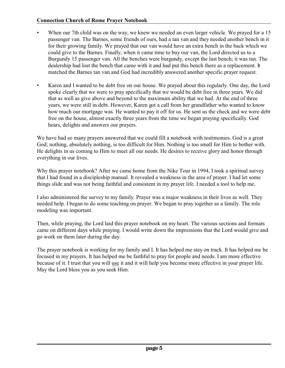- When our 7th child was on the way, we knew we needed an even larger vehicle. We prayed for a 15 passenger van. The Barnes, some friends of ours, had a tan van and they needed another bench in it for their growing family. We prayed that our van would have an extra bench in the back which we could give to the Barnes. Finally, when it came time to buy our van, the Lord directed us to a Burgundy 15 passenger van. All the benches were burgundy, except the last bench; it was tan. The dealership had lost the bench that came with it and had put this bench there as a replacement. It matched the Barnes tan van and God had incredibly answered another specific prayer request.
- Karen and I wanted to be debt free on our house. We prayed about this regularly. One day, the Lord spoke clearly that we were to pray specifically that we would be debt free in three years. We did that as well as give above and beyond to the maximum ability that we had. At the end of three years, we were still in debt. However, Karen got a call from her grandfather who wanted to know how much our mortgage was. He wanted to pay it off for us. He sent us the check and we were debt free on the house, almost exactly three years from the time we began praying specifically. God hears, delights and answers our prayers.

We have had so many prayers answered that we could fill a notebook with testimonies. God is a great God; nothing, absolutely nothing, is too difficult for Him. Nothing is too small for Him to bother with. He delights in us coming to Him to meet all our needs. He desires to receive glory and honor through everything in our lives.

Why this prayer notebook? After we came home from the Nike Tour in 1994, I took a spiritual survey that I had found in a discipleship manual. It revealed a weakness in the area of prayer. I had let some things slide and was not being faithful and consistent in my prayer life. I needed a tool to help me.

I also administered the survey to my family. Prayer was a major weakness in their lives as well. They needed help. I began to do some teaching on prayer. We began to pray together as a family. The role modeling was important.

Then, while praying, the Lord laid this prayer notebook on my heart. The various sections and formats came on different days while praying. I would write down the impressions that the Lord would give and go work on them later during the day.

The prayer notebook is working for my family and I. It has helped me stay on track. It has helped me be focused in my prayers. It has helped me be faithful to pray for people and needs. I am more effective because of it. I trust that you will use it and it will help you become more effective in your prayer life. May the Lord bless you as you seek Him.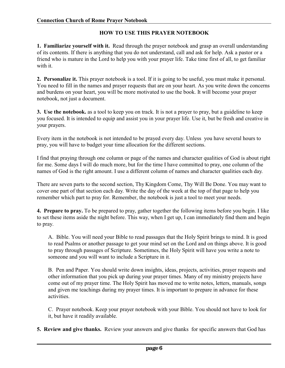# **HOW TO USE THIS PRAYER NOTEBOOK**

**1. Familiarize yourself with it.** Read through the prayer notebook and grasp an overall understanding of its contents. If there is anything that you do not understand, call and ask for help. Ask a pastor or a friend who is mature in the Lord to help you with your prayer life. Take time first of all, to get familiar with it.

**2. Personalize it.** This prayer notebook is a tool. If it is going to be useful, you must make it personal. You need to fill in the names and prayer requests that are on your heart. As you write down the concerns and burdens on your heart, you will be more motivated to use the book. It will become your prayer notebook, not just a document.

**3. Use the notebook.** as a tool to keep you on track. It is not a prayer to pray, but a guideline to keep you focused. It is intended to equip and assist you in your prayer life. Use it, but be fresh and creative in your prayers.

Every item in the notebook is not intended to be prayed every day. Unless you have several hours to pray, you will have to budget your time allocation for the different sections.

I find that praying through one column or page of the names and character qualities of God is about right for me. Some days I will do much more, but for the time I have committed to pray, one column of the names of God is the right amount. I use a different column of names and character qualities each day.

There are seven parts to the second section, Thy Kingdom Come, Thy Will Be Done. You may want to cover one part of that section each day. Write the day of the week at the top of that page to help you remember which part to pray for. Remember, the notebook is just a tool to meet your needs.

**4. Prepare to pray.** To be prepared to pray, gather together the following items before you begin. I like to set these items aside the night before. This way, when I get up, I can immediately find them and begin to pray.

A. Bible. You will need your Bible to read passages that the Holy Spirit brings to mind. It is good to read Psalms or another passage to get your mind set on the Lord and on things above. It is good to pray through passages of Scripture. Sometimes, the Holy Spirit will have you write a note to someone and you will want to include a Scripture in it.

B. Pen and Paper. You should write down insights, ideas, projects, activities, prayer requests and other information that you pick up during your prayer times. Many of my ministry projects have come out of my prayer time. The Holy Spirit has moved me to write notes, letters, manuals, songs and given me teachings during my prayer times. It is important to prepare in advance for these activities.

C. Prayer notebook. Keep your prayer notebook with your Bible. You should not have to look for it, but have it readily available.

**5. Review and give thanks.** Review your answers and give thanks for specific answers that God has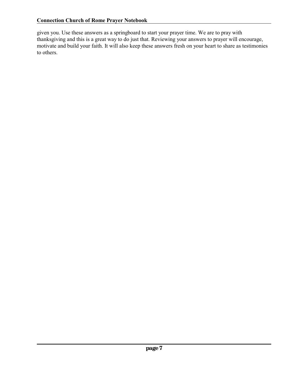given you. Use these answers as a springboard to start your prayer time. We are to pray with thanksgiving and this is a great way to do just that. Reviewing your answers to prayer will encourage, motivate and build your faith. It will also keep these answers fresh on your heart to share as testimonies to others.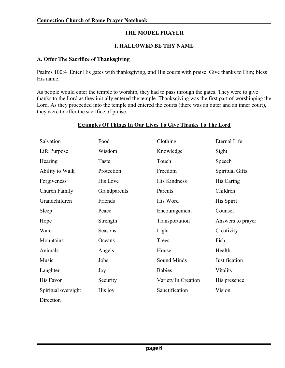# **THE MODEL PRAYER**

#### **I. HALLOWED BE THY NAME**

#### **A. Offer The Sacrifice of Thanksgiving**

Psalms 100:4 Enter His gates with thanksgiving, and His courts with praise. Give thanks to Him; bless His name.

As people would enter the temple to worship, they had to pass through the gates. They were to give thanks to the Lord as they initially entered the temple. Thanksgiving was the first part of worshipping the Lord. As they proceeded into the temple and entered the courts (there was an outer and an inner court), they were to offer the sacrifice of praise.

| Salvation           | Food            | Clothing            | Eternal Life      |
|---------------------|-----------------|---------------------|-------------------|
| Life Purpose        | Wisdom          | Knowledge           | Sight             |
| Hearing             | Taste           | Touch               | Speech            |
| Ability to Walk     | Protection      | Freedom             | Spiritual Gifts   |
| Forgiveness         | <b>His Love</b> | His Kindness        | His Caring        |
| Church Family       | Grandparents    | Parents             | Children          |
| Grandchildren       | Friends         | His Word            | His Spirit        |
| Sleep               | Peace           | Encouragement       | Counsel           |
| Hope                | Strength        | Transportation      | Answers to prayer |
| Water               | Seasons         | Light               | Creativity        |
| Mountains           | Oceans          | Trees               | Fish              |
| Animals             | Angels          | House               | Health            |
| Music               | Jobs            | Sound Minds         | Justification     |
| Laughter            | Joy             | <b>Babies</b>       | Vitality          |
| His Favor           | Security        | Variety In Creation | His presence      |
| Spiritual oversight | His joy         | Sanctification      | Vision            |
| Direction           |                 |                     |                   |

# **Examples Of Things In Our Lives To Give Thanks To The Lord**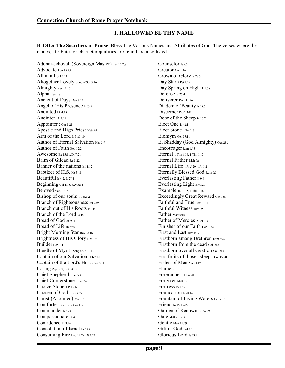#### **I. HALLOWED BE THY NAME**

**B. Offer The Sacrifices of Praise** Bless The Various Names and Attributes of God. The verses where the names, attributes or character qualities are found are also listed.

Adonai-Jehovah (Sovereign Master) Gen 15:2,8 Advocate <sup>1</sup> Jn 15:2,8 All in all Col 3:11 Altogether Lovely Song of Sol 5:16 Almighty Rev 11:17 Alpha Rev 1:8 Ancient of Days Dan 7:13 Angel of His Presence Is 63:9 Anointed Lk 4:18 Anointer Lk 9:11 Appointer <sup>2</sup> Cor 1:21 Apostle and High Priest Heb 3:1 Arm of the Lord Is 51:9-10 Author of Eternal Salvation Heb 5:9 Author of Faith Heb 12:2 Awesome Ex 15:11, Dt 7:21 Balm of Gilead Jer 8:22 Banner of the nations **Is 11:12** Baptizer of H.S. Mt 3:11 Beautiful Is 4:2, Is 27:4 Beginning Col 1:18, Rev 3:14 Beloved Matt 12:18 Bishop of our souls <sup>1</sup> Pet 2:25 Branch of Righteousness Jer 23:5 Branch out of His Roots Is 11:1 Branch of the Lord Is 4:2 Bread of God Jn 6:33 Bread of Life Jn 6:35 Bright Morning Star Rev 22:16 Brightness of His Glory Heb 1:3 Builder Heb 3:4 Bundle of Myrrh Song of Sol 1:13 Captain of our Salvation Heb 2:10 Captain of the Lord's Host Josh 5:14 Caring Zeph 2:7, Ezk 34:12 Chief Shepherd <sup>1</sup> Pet 5:4 Chief Cornerstone <sup>1</sup> Pet 2:6 Choice Stone <sup>1</sup> Pet 2:6 Chosen of God Lev 23:35 Christ (Anointed) Matt 16:16 Comforter Is 51:12, <sup>2</sup> Cor 1:3 Commander Is 55:4 Compassionate <sub>Dt 4:31</sub> Confidence Pr 3:26 Consolation of Israel Lk 55:4 Consuming Fire Heb 12:29, Dt 4:24

Counselor Is 9:6 Creator Col 1:16 Crown of Glory Is 28:5 Day Star 2 Pet 1:19 Day Spring on High Lk 1:78 Defense <sub>Is 25:4</sub> Deliverer Rom 11:26 Diadem of Beauty Is 28:5 Discerner Pro 2:3-8 Door of the Sheep Jn 10:7 Elect One Is 42:1 Elect Stone <sup>1</sup> Pet 2:6 Elohiym Gen 35:11 El Shadday (God Almighty) Gen 28:3 Encourager Rom 15:5 Eternal <sup>1</sup> Tim 6:16, <sup>1</sup> Tim 1:17 Eternal Father Isiah 9:6 Eternal Life <sup>1</sup> Jn 5:20, <sup>1</sup> Jn 1:2 Eternally Blessed God Rom 9:5 Everlasting Father Is 9:6 Everlasting Light Is 60:20 Example Jn 13:15, <sup>1</sup> Tim 1:16 Exceedingly Great Reward Gen 15:1 Faithful and True Rev 19:11 Faithful Witness Rev 1:5 Father Matt 5:16 Father of Mercies 2 Cor 1:3 Finisher of our Faith Heb 12:2 First and Last Rev 1:17 Firstborn among Brethren Rom 8:29 Firstborn from the dead Col 1:18 Firstborn over all creation Col 1:15 Firstfruits of those asleep 1 Cor 15:20 Fisher of Men Matt 4:19 Flame Is 10:17 Forerunner Heb 6:20 Forgiver Matt 9:2 Fortress Ps 12:2 Foundation Is 28:16 Fountain of Living Waters Jer 17:13 Friend Jn 15:13-15 Garden of Renown Ez 34:29 Gate Matt 7:13-14 Gentle Matt 11:29 Gift of God Jn 4:10 Glorious Lord Is 33:21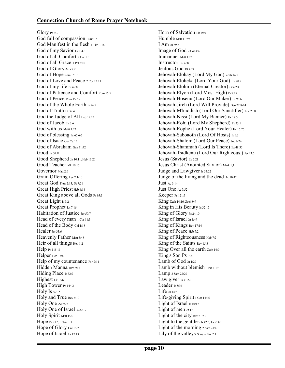Glory Ps 3:3 God full of compassion Ps 86:15 God Manifest in the flesh 1 Tim 3:16 God of my Savior Lk 1:47 God of all Comfort 2 Cor 1:3 God of all Grace 1 Pet 5:10 God of Glory Acts 7:2 God of Hope Rom 15:13 God of Love and Peace 2 Cor 13:11 God of my life Ps 42:8 God of Patience and Comfort Rom 15:5 God of Peace Rom 15:33 God of the Whole Earth Is 54:5 God of Truth  $Dt$  32:4 God the Judge of All Heb 12:23 God of Jacob Ex 3:6 God with us Mattt 1:23 God of blessing Ps 67:6-7 God of Isaac Gen 28:13 God of Abraham Gen 31:42 Good Ps 34:8 Good Shepherd Jn 10:11, Heb 13;20 Good Teacher Mk 10:17 Governor Matt 2:6 Grain Offering Lev 2:1-10 Great God Titus 2:13, Dt 7:21 Great High Priest Heb 4:14 Great King above all Gods Ps 95:3 Great Light Is 9:2 Great Prophet Lk 7:16 Habitation of Justice Jer 50:7 Head of every man 1 Cor 11:3 Head of the Body Col 1:18 Healer Jer 33:6 Heavenly Father Matt 5:48 Heir of all things  $Heb 1:2$ Help Ps 115:11 Helper Heb 13:6 Help of my countenance Ps 42:11 Hidden Manna Rev 2:17 Hiding Place Is 32:2 Highest Lk 1:76 High Tower Ps 144:2 Holy Is 57:15 Holy and True Rev 6:10 Holy One Ac 2:27 Holy One of Israel Is 29:19 Holy Spirit Matt 1:20 Hope Ps 71:5, <sup>1</sup> Tim 1:1 Hope of Glory Col 1:27 Hope of Israel Jer 17:13

Horn of Salvation Lk 1:69 Humble Matt 11:29 I Am Jn 8:58 Image of God <sup>2</sup> Cor 4:4 Immanuel Matt 1:23 Instructor Ps 32:8 Jealous God Dt 4:24 Jehovah-Elohay (Lord My God) Zech 14:5 Jehovah-Eloheka (Lord Your God) Ex 20:2 Jehovah-Elohim (Eternal Creator) Gen 2:4 Jehovah-Elyon (Lord Most High) Ps 7:17 Jehovah-Hosenu (Lord Our Maker) Ps 95:6 Jehovah-Jireh (Lord Will Provide) Gen 22:8-14 Jehovah-M'kaddish (Lord Our Sanctifier) Lev 20:8 Jehovah-Nissi (Lord My Banner) Ex 17:5 Jehovah-Rohi (Lord My Shepherd) Ps 23:1 Jehovah-Rophe (Lord Your Healer) Ex 15:26 Jehovah-Saboaoth (Lord Of Hosts) Is 6:3 Jehovah-Shalom (Lord Our Peace) Jud 6:24 Jehovah-Shammah (Lord Is There) Ez 48:35 Jehovah-Tsidkenu (Lord Our Righteous.) Jer 23:6 Jesus (Savior) Lk 2:21 Jesus Christ (Anointed Savior) Mark 1;1 Judge and Lawgiver Is 33:22 Judge of the living and the dead Ac 10:42 Just Ac 3:14 Just One Ac 7:52 Keeper Ps 121:5 King Zech 14:16, Zech 9:9 King in His Beauty Is 32:17 King of Glory Ps 24:10 King of Israel Jn 1:49 King of Kings Rev 17:14 King of Peace Heb 7:2 King of Righteousness Heb 7:2 King of the Saints Rev 15:3 King Over all the earth Zech 14:9 King's Son Ps 72:1 Lamb of God Jn 1:29 Lamb without blemish 1 Pet 1:19 Lamp <sup>2</sup> Sam 22:29 Law giver  $Is 33:22$ Leader Is 55:4 Life Jn 14:6 Life-giving Spirit 1 Cor 14:45 Light of Israel Is 10:17 Light of men Jn 1:4 Light of the city Rev 21:23 Light to the gentiles Is 42:6, Lk 2:32 Light of the morning 2 Sam 23:4 Lily of the valleys Song of Sol 2:1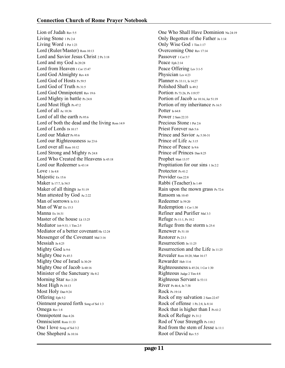Lion of Judah Rev 5:5 Living Stone <sup>1</sup> Pe 2:4 Living Word 1 Pet 1:23 Lord (Ruler/Master) Rom 10:13 Lord and Savior Jesus Christ <sup>2</sup> Pe 3:18 Lord and my God Jn 20:28 Lord from Heaven 1 Cor 15:47 Lord God Almighty Rev 4:8 Lord God of Hosts Ps 59:5 Lord God of Truth Ps 31:5 Lord God Omnipotent Rev 19:6 Lord Mighty in battle Ps 24:8 Lord Most High Ps 47:2 Lord of all Ac 10:36 Lord of all the earth Ps 95:6 Lord of both the dead and the living Rom 14:9 Lord of Lords Dt 10:17 Lord our Maker Ps 95:6 Lord our Righteousness Jer 23:6 Lord over all Rom 10:12 Lord Strong and Mighty Ps 24:8 Lord Who Created the Heavens Is 45:18 Lord our Redeemer Is 43:14 Love  $1 \text{ In } 4.8$ Majestic Ex 15:6 Maker Is 17:7, Is 54:5 Maker of all things Jer 51:19 Man attested by God Ac 2:22 Man of sorrows Is 53:3 Man of War Ex 15:3 Manna Ex 16:31 Master of the house  $1k$  13:25 Mediator Job 9:33, <sup>1</sup> Tim 2:5 Mediator of a better covenant He 12:24 Messenger of the Covenant Mal 3:16 Messiah Jn 4:25 Mighty God Is 9:6 Mighty One Ps 45:3 Mighty One of Israel Is 30:29 Mighty One of Jacob Is 60:16 Minister of the Sanctuary He 8:2 Morning Star Rev 2:28 Most High Ps 18:13 Most Holy Dan 9:24 Offering Eph 5:2 Ointment poured forth Song of Sol 1:3 Omega Rev 1:8 Omnipotent Dan 4:26 Omniscient Rom 11:33 One I love Song of Sol 3:2 One Shepherd Jn 10:16

One Who Shall Have Dominion Nu 24:19 Only Begotten of the Father Jn 1:14 Only Wise God 1 Tim 1:17 Overcoming One Rev 17:14 Passover 1 Cor 5:7 Peace Eph 2:14 Peace Offering Lev 3:1-5 Physician Lev 4:23 Planner Ps 33:11, Is 14:27 Polished Shaft Is 49:2 Portion Ps 73:26, Ps 119:57 Portion of Jacob Jer 10:16, Jer 51:19 Portion of my inheritance Ps 16:5 Potter Is 64:8 Power <sup>2</sup> Sam 22:33 Precious Stone 1 Pet 2:6 Priest Forever Heb 5:6 Prince and Savior Ac 5:30-31 Prince of Life Ac 3:15 Prince of Peace Is 9:6 Prince of Princes Dan 8:25 Prophet Matt 13:57 Propitiation for our sins 1 Jn 2:2 Protector Ps 41:2 Provider Gen 22:8 Rabbi (Teacher) Jn 1:49 Rain upon the mown grass Ps 72:6 Ransom Mk 10:45 Redeemer Is 59:20 Redemption 1 Cor 1:30 Refiner and Purifier Mal 3:3 Refuge Ps 11:1, Ps 18:2 Refuge from the storm Is 25:4 Renewer Ps 51:10 Restorer Ps 23:3 Resurrection Jn 11:25 Resurrection and the Life  $In 11:25$ Revealer Rom 10:20, Matt 16:17 Rewarder Heb 11:6 Righteousness Is 45:24, 1 Cor 1:30 Righteous Judge <sup>2</sup> Tim 4:8 Righteous Servant Is 53:11 River Ps 46:4, Jn 7:38 Rock Ps 19:14 Rock of my salvation <sup>2</sup> Sam 22:47 Rock of offense <sup>1</sup> Pe 2:8, Is 8:14 Rock that is higher than I Ps 61:2 Rock of Refuge Ps 31:2 Rod of Your Strength Ps 110:2 Rod from the stem of Jesse Is 11:1 Root of David Rev 5:5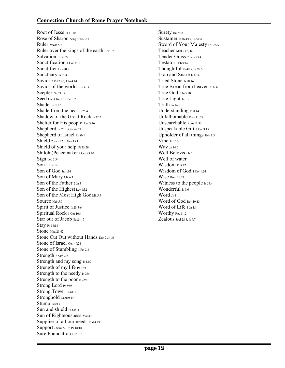Root of Jesse <sub>Is 11:10</sub> Rose of Sharon Song of Sol 2:1 Ruler Micah 5:2 Ruler over the kings of the earth Rev 1:5 Salvation Ps 38:22 Sanctification 1 Cor 1:30 Sanctifier Lev 20:8 Sanctuary Is 8:14 Savior <sup>2</sup> Pet 2:20, <sup>1</sup> Jn 4:14 Savior of the world 1 Jn 4:14 Scepter Nu 24:17 Seed Gal 3:16, 19, <sup>1</sup> Pet 1:23 Shade Ps 121:5 Shade from the heat Is 25:4 Shadow of the Great Rock Is 32:2 Shelter for His people Joel 3:16 Shepherd Ps 23:1, Gen 49:24 Shepherd of Israel Ps 80:1 Shield <sup>2</sup> Sam 22:3, Gen 15:1 Shield of your help Dt 33:29 Shiloh (Peacemaker) Gen 49:10 Sign Lev 2:34 Son <sup>1</sup> Jn 4:14 Son of God Jn 1:34 Son of Mary Mk 6:3 Son of the Father 2 Jn 3 Son of the Highest Lev 1:32 Son of the Most High God Mk 5:7 Source Heb 5:9 Spirit of Justice Is 28:5-6 Spiritual Rock 1 Cor 10:4 Star our of Jacob Nu 24:17 Stay Ps 18:18 Stone Matt 21:42 Stone Cut Out without Hands Dan 2:34-35 Stone of Israel Gen 49:24 Stone of Stumbling 1 Pet 2:8 Strength <sup>2</sup> Sam 22:3 Strength and my song Is 12:2 Strength of my life Ps 27:1 Strength to the needy Is 25:4 Strength to the poor  $Is 25:4$ Strong Lord Ps 89:8 Strong Tower Ps 61:3 Stronghold Nahum 1:7 Stump Is 6:13 Sun and shield Ps 84:11 Sun of Righteousness Mal 4:2 Supplier of all our needs Phil 4:19 Support <sup>2</sup> Sam 22:19, Ps 18:18 Sure Foundation Is 28:16

Surety He 7:22 Sustainer Ruth 4:15, Ps 54:4 Sword of Your Majesty Dt 33:29 Teacher Matt 23:8, Jn 13:13 Tender Grass <sup>2</sup> Sam 23:4 Testator Heb 9:16 Thoughtful Ps 40:5, Ps 92:5 Trap and Snare Is 8:14 Tried Stone Is 28:16 True Bread from heaven Jn 6:32 True God <sup>1</sup> Jn 5:20 True Light Jn 1:9 Truth Jn 14:6 Understanding Pr 8:14 Unfathomable Rom 11:33 Unsearchable Rom 11:33 Unspeakable Gift <sup>2</sup> Cor 9:15 Upholder of all things Heb 1:3 Vine Jn 15:5 Way Jn 14:6 Well Beloved Is 5:1 Well of water Wisdom Pr 8:12 Wisdom of God 1 Cor 1:24 Wise Rom 16:27 Witness to the people Is 55:4 Wonderful Is 9:6 Word Jn 1:1 Word of God Rev 19:13 Word of Life 1 Jn 1:1 Worthy Rev 5:12 Zealous Joel 2:18, Is 9:7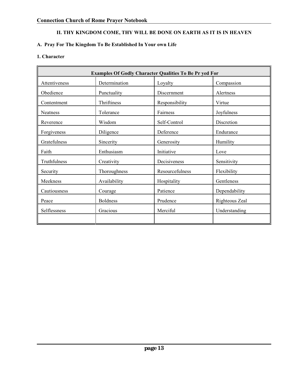# **A. Pray For The Kingdom To Be Established In Your own Life**

#### **1. Character**

| <b>Examples Of Godly Character Qualities To Be Pr yed For</b> |                 |                 |                |  |
|---------------------------------------------------------------|-----------------|-----------------|----------------|--|
| Attentiveness                                                 | Determination   | Loyalty         | Compassion     |  |
| Obedience                                                     | Punctuality     | Discernment     | Alertness      |  |
| Contentment                                                   | Thriftiness     | Responsibility  | Virtue         |  |
| Neatness                                                      | Tolerance       | Fairness        | Joyfulness     |  |
| Reverence                                                     | Wisdom          | Self-Control    | Discretion     |  |
| Forgiveness                                                   | Diligence       | Deference       | Endurance      |  |
| Gratefulness                                                  | Sincerity       | Generosity      | Humility       |  |
| Faith                                                         | Enthusiasm      | Initiative      | Love           |  |
| Truthfulness                                                  | Creativity      | Decisiveness    | Sensitivity    |  |
| Security                                                      | Thoroughness    | Resourcefulness | Flexibility    |  |
| Meekness                                                      | Availability    | Hospitality     | Gentleness     |  |
| Cautiousness                                                  | Courage         | Patience        | Dependability  |  |
| Peace                                                         | <b>Boldness</b> | Prudence        | Righteous Zeal |  |
| Selflessness                                                  | Gracious        | Merciful        | Understanding  |  |
|                                                               |                 |                 |                |  |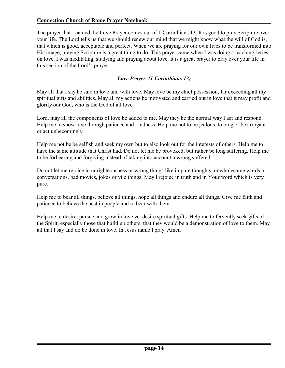The prayer that I named the Love Prayer comes out of 1 Corinthians 13. It is good to pray Scripture over your life. The Lord tells us that we should renew our mind that we might know what the will of God is, that which is good, acceptable and perfect. When we are praying for our own lives to be transformed into His image, praying Scripture is a great thing to do. This prayer came when I was doing a teaching series on love. I was meditating, studying and praying about love. It is a great prayer to pray over your life in this section of the Lord's prayer.

# *Love Prayer (1 Corinthians 13)*

May all that I say be said in love and with love. May love be my chief possession, far exceeding all my spiritual gifts and abilities. May all my actions be motivated and carried out in love that it may profit and glorify our God, who is the God of all love.

Lord, may all the components of love be added to me. May they be the normal way I act and respond. Help me to show love through patience and kindness. Help me not to be jealous, to brag or be arrogant or act unbecomingly.

Help me not be be selfish and seek my own but to also look out for the interests of others. Help me to have the same attitude that Christ had. Do not let me be provoked, but rather be long suffering. Help me to be forbearing and forgiving instead of taking into account a wrong suffered.

Do not let me rejoice in unrighteousness or wrong things like impure thoughts, unwholesome words or conversations, bad movies, jokes or vile things. May I rejoice in truth and in Your word which is very pure.

Help me to bear all things, believe all things, hope all things and endure all things. Give me faith and patience to believe the best in people and to bear with them.

Help me to desire, pursue and grow in love yet desire spiritual gifts. Help me to fervently seek gifts of the Spirit, especially those that build up others, that they would be a demonstration of love to them. May all that I say and do be done in love. In Jesus name I pray. Amen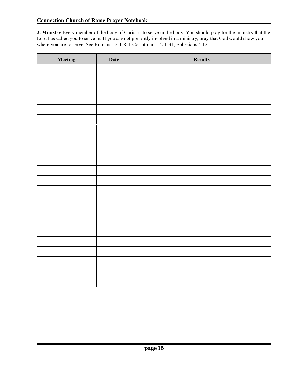**2. Ministry** Every member of the body of Christ is to serve in the body. You should pray for the ministry that the Lord has called you to serve in. If you are not presently involved in a ministry, pray that God would show you where you are to serve. See Romans 12:1-8, 1 Corinthians 12:1-31, Ephesians 4:12.

| Meeting | <b>Date</b> | <b>Results</b> |
|---------|-------------|----------------|
|         |             |                |
|         |             |                |
|         |             |                |
|         |             |                |
|         |             |                |
|         |             |                |
|         |             |                |
|         |             |                |
|         |             |                |
|         |             |                |
|         |             |                |
|         |             |                |
|         |             |                |
|         |             |                |
|         |             |                |
|         |             |                |
|         |             |                |
|         |             |                |
|         |             |                |
|         |             |                |
|         |             |                |
|         |             |                |
|         |             |                |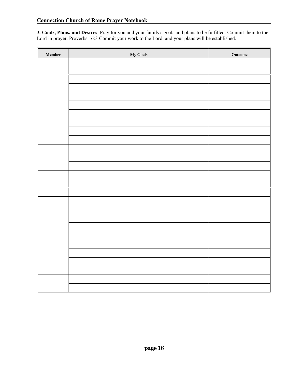**3. Goals, Plans, and Desires** Pray for you and your family's goals and plans to be fulfilled. Commit them to the Lord in prayer. Proverbs 16:3 Commit your work to the Lord, and your plans will be established.

| Member | <b>My Goals</b> | Outcome |
|--------|-----------------|---------|
|        |                 |         |
|        |                 |         |
|        |                 |         |
|        |                 |         |
|        |                 |         |
|        |                 |         |
|        |                 |         |
|        |                 |         |
|        |                 |         |
|        |                 |         |
|        |                 |         |
|        |                 |         |
|        |                 |         |
|        |                 |         |
|        |                 |         |
|        |                 |         |
|        |                 |         |
|        |                 |         |
|        |                 |         |
|        |                 |         |
|        |                 |         |
|        |                 |         |
|        |                 |         |
|        |                 |         |
|        |                 |         |
|        |                 |         |
|        |                 |         |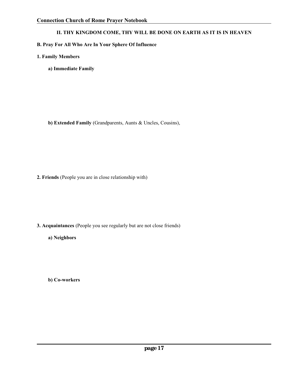#### **B. Pray For All Who Are In Your Sphere Of Influence**

- **1. Family Members**
	- **a) Immediate Family**

**b) Extended Family** (Grandparents, Aunts & Uncles, Cousins),

**2. Friends** (People you are in close relationship with)

- **3. Acquaintances** (People you see regularly but are not close friends)
	- **a) Neighbors**

**b) Co-workers**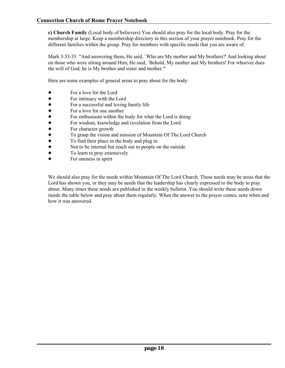**c) Church Family** (Local body of believers) You should also pray for the local body. Pray for the membership at large. Keep a membership directory in this section of your prayer notebook. Pray for the different families within the group. Pray for members with specific needs that you are aware of.

Mark 3:33-35 "And answering them, He said, `Who are My mother and My brothers?' And looking about on those who were sitting around Him, He said, `Behold, My mother and My brothers! For whoever does the will of God, he is My brother and sister and mother.'"

Here are some examples of general areas to pray about for the body:

- For a love for the Lord
- For intimacy with the Lord
- For a successful and loving family life
- 
- For a love for one another<br>• For enthusiasm within the • For enthusiasm within the body for what the Lord is doing<br>• For wisdom, knowledge and revelation from the Lord
- ! For wisdom, knowledge and revelation from the Lord
- For character growth
- To grasp the vision and mission of Mountain Of The Lord Church<br>• To find their place in the body and plug in
- To find their place in the body and plug in<br>• Not to be internal but reach out to people of
- ! Not to be internal but reach out to people on the outside
- To learn to pray extensively
- For oneness in spirit

We should also pray for the needs within Mountain Of The Lord Church. These needs may be areas that the Lord has shown you, or they may be needs that the leadership has clearly expressed to the body to pray about. Many times these needs are published in the weekly bulletin. You should write these needs down inside the table below and pray about them regularly. When the answer to the prayer comes, note when and how it was answered.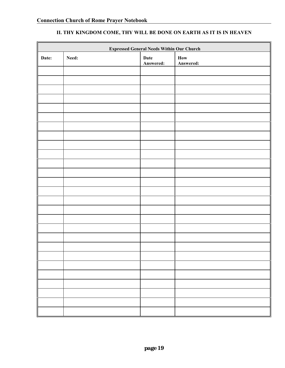|       | <b>Expressed General Needs Within Our Church</b> |                   |                                                |  |
|-------|--------------------------------------------------|-------------------|------------------------------------------------|--|
| Date: | Need:                                            | Date<br>Answered: | $\boldsymbol{\operatorname{How}}$<br>Answered: |  |
|       |                                                  |                   |                                                |  |
|       |                                                  |                   |                                                |  |
|       |                                                  |                   |                                                |  |
|       |                                                  |                   |                                                |  |
|       |                                                  |                   |                                                |  |
|       |                                                  |                   |                                                |  |
|       |                                                  |                   |                                                |  |
|       |                                                  |                   |                                                |  |
|       |                                                  |                   |                                                |  |
|       |                                                  |                   |                                                |  |
|       |                                                  |                   |                                                |  |
|       |                                                  |                   |                                                |  |
|       |                                                  |                   |                                                |  |
|       |                                                  |                   |                                                |  |
|       |                                                  |                   |                                                |  |
|       |                                                  |                   |                                                |  |
|       |                                                  |                   |                                                |  |
|       |                                                  |                   |                                                |  |
|       |                                                  |                   |                                                |  |
|       |                                                  |                   |                                                |  |
|       |                                                  |                   |                                                |  |
|       |                                                  |                   |                                                |  |
|       |                                                  |                   |                                                |  |
|       |                                                  |                   |                                                |  |
|       |                                                  |                   |                                                |  |
|       |                                                  |                   |                                                |  |
|       |                                                  |                   |                                                |  |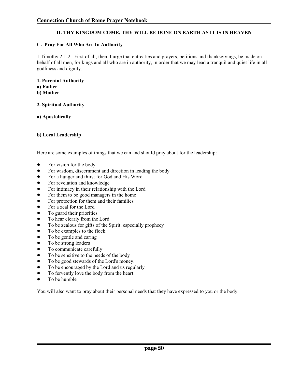#### **C. Pray For All Who Are In Authority**

1 Timothy 2:1-2 First of all, then, I urge that entreaties and prayers, petitions and thanksgivings, be made on behalf of all men, for kings and all who are in authority, in order that we may lead a tranquil and quiet life in all godliness and dignity.

#### **1. Parental Authority**

- **a) Father**
- **b) Mother**

#### **2. Spiritual Authority**

**a) Apostolically**

#### **b) Local Leadership**

Here are some examples of things that we can and should pray about for the leadership:

- For vision for the body
- ! For wisdom, discernment and direction in leading the body
- For a hunger and thirst for God and His Word
- For revelation and knowledge
- For intimacy in their relationship with the Lord
- For them to be good managers in the home
- For protection for them and their families
- For a zeal for the Lord
- To guard their priorities
- To hear clearly from the Lord
- To be zealous for gifts of the Spirit, especially prophecy
- To be examples to the flock
- To be gentle and caring
- To be strong leaders
- To communicate carefully
- To be sensitive to the needs of the body
- To be good stewards of the Lord's money.
- ! To be encouraged by the Lord and us regularly
- To fervently love the body from the heart
- To be humble

You will also want to pray about their personal needs that they have expressed to you or the body.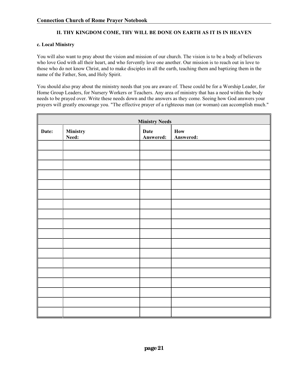#### **c. Local Ministry**

You will also want to pray about the vision and mission of our church. The vision is to be a body of believers who love God with all their heart, and who fervently love one another. Our mission is to reach out in love to those who do not know Christ, and to make disciples in all the earth, teaching them and baptizing them in the name of the Father, Son, and Holy Spirit.

You should also pray about the ministry needs that you are aware of. These could be for a Worship Leader, for Home Group Leaders, for Nursery Workers or Teachers. Any area of ministry that has a need within the body needs to be prayed over. Write these needs down and the answers as they come. Seeing how God answers your prayers will greatly encourage you. "The effective prayer of a righteous man (or woman) can accomplish much."

|            | <b>Ministry Needs</b>           |  |                   |                  |  |
|------------|---------------------------------|--|-------------------|------------------|--|
| I<br>Date: | <b>Ministry</b><br><b>Need:</b> |  | Date<br>Answered: | How<br>Answered: |  |
|            |                                 |  |                   |                  |  |
|            |                                 |  |                   |                  |  |
|            |                                 |  |                   |                  |  |
|            |                                 |  |                   |                  |  |
|            |                                 |  |                   |                  |  |
|            |                                 |  |                   |                  |  |
|            |                                 |  |                   |                  |  |
|            |                                 |  |                   |                  |  |
|            |                                 |  |                   |                  |  |
|            |                                 |  |                   |                  |  |
|            |                                 |  |                   |                  |  |
|            |                                 |  |                   |                  |  |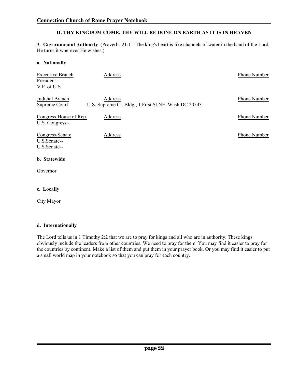**3. Governmental Authority** (Proverbs 21:1 "The king's heart is like channels of water in the hand of the Lord, He turns it wherever He wishes.)

#### **a. Nationally**

| <b>Executive Branch</b><br>President--<br>V.P. of U.S. | Address                                                         | Phone Number |
|--------------------------------------------------------|-----------------------------------------------------------------|--------------|
| Judicial Branch<br>Supreme Court                       | Address<br>U.S. Supreme Ct. Bldg., 1 First St.NE, Wash.DC 20543 | Phone Number |
| Congress-House of Rep.<br>U.S. Congress--              | Address                                                         | Phone Number |
| Congress-Senate<br>U.S.Senate--<br>U.S.Senate--        | Address                                                         | Phone Number |
| b. Statewide                                           |                                                                 |              |
| Governor                                               |                                                                 |              |

#### **c. Locally**

City Mayor

#### **d. Internationally**

The Lord tells us in 1 Timothy 2:2 that we are to pray for kings and all who are in authority. These kings obviously include the leaders from other countries. We need to pray for them. You may find it easier to pray for the countries by continent. Make a list of them and put them in your prayer book. Or you may find it easier to put a small world map in your notebook so that you can pray for each country.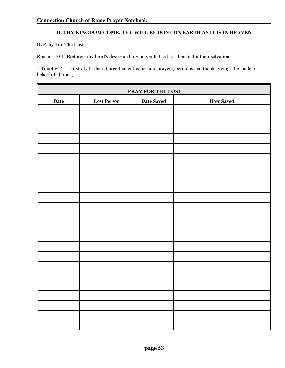#### **D. Pray For The Lost**

Romans 10:1 Brethren, my heart's desire and my prayer to God for them is for their salvation.

1 Timothy 2:1 First of all, then, I urge that entreaties and prayers, petitions and thanksgivings, be made on behalf of all men,

| PRAY FOR THE LOST |                                                             |  |  |  |  |  |
|-------------------|-------------------------------------------------------------|--|--|--|--|--|
| Date              | <b>Lost Person</b><br><b>Date Saved</b><br><b>How Saved</b> |  |  |  |  |  |
|                   |                                                             |  |  |  |  |  |
|                   |                                                             |  |  |  |  |  |
|                   |                                                             |  |  |  |  |  |
|                   |                                                             |  |  |  |  |  |
|                   |                                                             |  |  |  |  |  |
|                   |                                                             |  |  |  |  |  |
|                   |                                                             |  |  |  |  |  |
|                   |                                                             |  |  |  |  |  |
|                   |                                                             |  |  |  |  |  |
|                   |                                                             |  |  |  |  |  |
|                   |                                                             |  |  |  |  |  |
|                   |                                                             |  |  |  |  |  |
|                   |                                                             |  |  |  |  |  |
|                   |                                                             |  |  |  |  |  |
|                   |                                                             |  |  |  |  |  |
|                   |                                                             |  |  |  |  |  |
|                   |                                                             |  |  |  |  |  |
|                   |                                                             |  |  |  |  |  |
|                   |                                                             |  |  |  |  |  |
| I                 |                                                             |  |  |  |  |  |
|                   |                                                             |  |  |  |  |  |
|                   |                                                             |  |  |  |  |  |
|                   |                                                             |  |  |  |  |  |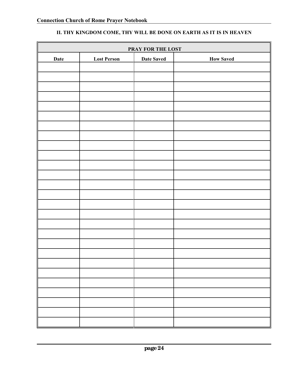| PRAY FOR THE LOST |                    |                   |                  |  |
|-------------------|--------------------|-------------------|------------------|--|
| Date              | <b>Lost Person</b> | <b>Date Saved</b> | <b>How Saved</b> |  |
|                   |                    |                   |                  |  |
|                   |                    |                   |                  |  |
|                   |                    |                   |                  |  |
|                   |                    |                   |                  |  |
|                   |                    |                   |                  |  |
|                   |                    |                   |                  |  |
|                   |                    |                   |                  |  |
|                   |                    |                   |                  |  |
|                   |                    |                   |                  |  |
|                   |                    |                   |                  |  |
|                   |                    |                   |                  |  |
|                   |                    |                   |                  |  |
|                   |                    |                   |                  |  |
|                   |                    |                   |                  |  |
|                   |                    |                   |                  |  |
|                   |                    |                   |                  |  |
|                   |                    |                   |                  |  |
|                   |                    |                   |                  |  |
|                   |                    |                   |                  |  |
|                   |                    |                   |                  |  |
|                   |                    |                   |                  |  |
|                   |                    |                   |                  |  |
|                   |                    |                   |                  |  |
|                   |                    |                   |                  |  |
|                   |                    |                   |                  |  |
|                   |                    |                   |                  |  |
|                   |                    |                   |                  |  |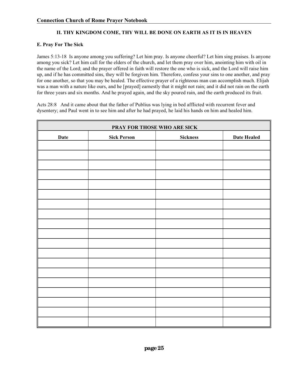#### **E. Pray For The Sick**

James 5:13-18 Is anyone among you suffering? Let him pray. Is anyone cheerful? Let him sing praises. Is anyone among you sick? Let him call for the elders of the church, and let them pray over him, anointing him with oil in the name of the Lord; and the prayer offered in faith will restore the one who is sick, and the Lord will raise him up, and if he has committed sins, they will be forgiven him. Therefore, confess your sins to one another, and pray for one another, so that you may be healed. The effective prayer of a righteous man can accomplish much. Elijah was a man with a nature like ours, and he [prayed] earnestly that it might not rain; and it did not rain on the earth for three years and six months. And he prayed again, and the sky poured rain, and the earth produced its fruit.

Acts 28:8 And it came about that the father of Publius was lying in bed afflicted with recurrent fever and dysentery; and Paul went in to see him and after he had prayed, he laid his hands on him and healed him.

| PRAY FOR THOSE WHO ARE SICK |                    |                 |             |  |
|-----------------------------|--------------------|-----------------|-------------|--|
| Date                        | <b>Sick Person</b> | <b>Sickness</b> | Date Healed |  |
|                             |                    |                 |             |  |
|                             |                    |                 |             |  |
|                             |                    |                 |             |  |
|                             |                    |                 |             |  |
|                             |                    |                 |             |  |
|                             |                    |                 |             |  |
|                             |                    |                 |             |  |
|                             |                    |                 |             |  |
|                             |                    |                 |             |  |
|                             |                    |                 |             |  |
|                             |                    |                 |             |  |
|                             |                    |                 |             |  |
|                             |                    |                 |             |  |
|                             |                    |                 |             |  |
|                             |                    |                 |             |  |
|                             |                    |                 |             |  |
|                             |                    |                 |             |  |
|                             |                    |                 |             |  |
|                             |                    |                 |             |  |
|                             |                    |                 |             |  |
|                             |                    |                 |             |  |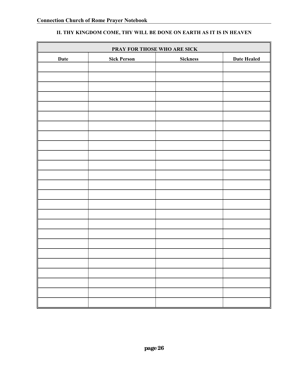| PRAY FOR THOSE WHO ARE SICK |                    |                 |             |
|-----------------------------|--------------------|-----------------|-------------|
| Date                        | <b>Sick Person</b> | <b>Sickness</b> | Date Healed |
|                             |                    |                 |             |
|                             |                    |                 |             |
|                             |                    |                 |             |
|                             |                    |                 |             |
|                             |                    |                 |             |
|                             |                    |                 |             |
|                             |                    |                 |             |
|                             |                    |                 |             |
|                             |                    |                 |             |
|                             |                    |                 |             |
|                             |                    |                 |             |
|                             |                    |                 |             |
|                             |                    |                 |             |
|                             |                    |                 |             |
|                             |                    |                 |             |
|                             |                    |                 |             |
|                             |                    |                 |             |
|                             |                    |                 |             |
|                             |                    |                 |             |
|                             |                    |                 |             |
|                             |                    |                 |             |
|                             |                    |                 |             |
|                             |                    |                 |             |
|                             |                    |                 |             |
|                             |                    |                 |             |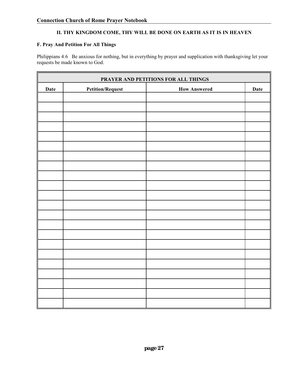#### **F. Pray And Petition For All Things**

Philippians 4:6 Be anxious for nothing, but in everything by prayer and supplication with thanksgiving let your requests be made known to God.

| PRAYER AND PETITIONS FOR ALL THINGS |                         |                     |             |
|-------------------------------------|-------------------------|---------------------|-------------|
| Date                                | <b>Petition/Request</b> | <b>How Answered</b> | <b>Date</b> |
|                                     |                         |                     |             |
|                                     |                         |                     |             |
|                                     |                         |                     |             |
|                                     |                         |                     |             |
|                                     |                         |                     |             |
|                                     |                         |                     |             |
|                                     |                         |                     |             |
|                                     |                         |                     |             |
|                                     |                         |                     |             |
|                                     |                         |                     |             |
|                                     |                         |                     |             |
|                                     |                         |                     |             |
|                                     |                         |                     |             |
|                                     |                         |                     |             |
|                                     |                         |                     |             |
|                                     |                         |                     |             |
|                                     |                         |                     |             |
|                                     |                         |                     |             |
|                                     |                         |                     |             |
|                                     |                         |                     |             |
|                                     |                         |                     |             |
|                                     |                         |                     |             |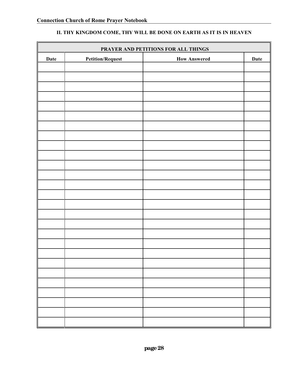|      |                         |                     | PRAYER AND PETITIONS FOR ALL THINGS |  |  |
|------|-------------------------|---------------------|-------------------------------------|--|--|
| Date | <b>Petition/Request</b> | <b>How Answered</b> | Date                                |  |  |
|      |                         |                     |                                     |  |  |
|      |                         |                     |                                     |  |  |
|      |                         |                     |                                     |  |  |
|      |                         |                     |                                     |  |  |
|      |                         |                     |                                     |  |  |
|      |                         |                     |                                     |  |  |
|      |                         |                     |                                     |  |  |
|      |                         |                     |                                     |  |  |
|      |                         |                     |                                     |  |  |
|      |                         |                     |                                     |  |  |
|      |                         |                     |                                     |  |  |
|      |                         |                     |                                     |  |  |
|      |                         |                     |                                     |  |  |
|      |                         |                     |                                     |  |  |
|      |                         |                     |                                     |  |  |
|      |                         |                     |                                     |  |  |
|      |                         |                     |                                     |  |  |
|      |                         |                     |                                     |  |  |
|      |                         |                     |                                     |  |  |
|      |                         |                     |                                     |  |  |
|      |                         |                     |                                     |  |  |
|      |                         |                     |                                     |  |  |
|      |                         |                     |                                     |  |  |
|      |                         |                     |                                     |  |  |
|      |                         |                     |                                     |  |  |
|      |                         |                     |                                     |  |  |
|      |                         |                     |                                     |  |  |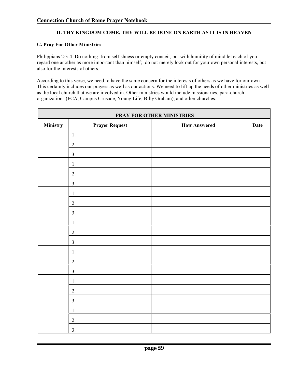#### **G. Pray For Other Ministries**

Philippians 2:3-4 Do nothing from selfishness or empty conceit, but with humility of mind let each of you regard one another as more important than himself; do not merely look out for your own personal interests, but also for the interests of others.

According to this verse, we need to have the same concern for the interests of others as we have for our own. This certainly includes our prayers as well as our actions. We need to lift up the needs of other ministries as well as the local church that we are involved in. Other ministries would include missionaries, para-church organizations (FCA, Campus Crusade, Young Life, Billy Graham), and other churches.

| PRAY FOR OTHER MINISTRIES |                       |                     |      |
|---------------------------|-----------------------|---------------------|------|
| <b>Ministry</b>           | <b>Prayer Request</b> | <b>How Answered</b> | Date |
|                           | 1.                    |                     |      |
|                           | 2.                    |                     |      |
|                           | 3.                    |                     |      |
|                           | 1.                    |                     |      |
|                           | 2.                    |                     |      |
|                           | 3.                    |                     |      |
|                           | 1.                    |                     |      |
|                           | 2.                    |                     |      |
|                           | 3.                    |                     |      |
|                           | 1.                    |                     |      |
|                           | 2.                    |                     |      |
|                           | 3.                    |                     |      |
|                           | 1.                    |                     |      |
|                           | 2.                    |                     |      |
|                           | 3.                    |                     |      |
|                           | 1.                    |                     |      |
|                           | 2.                    |                     |      |
|                           | 3.                    |                     |      |
|                           | 1.                    |                     |      |
|                           | 2.                    |                     |      |
|                           | 3.                    |                     |      |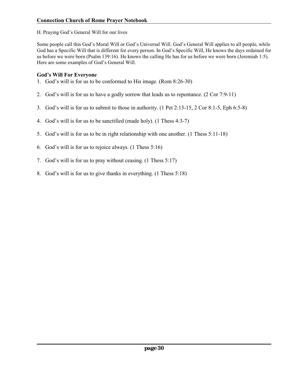H. Praying God's General Will for our lives

Some people call this God's Moral Will or God's Universal Will. God's General Will applies to all people, while God has a Specific Will that is different for every person. In God's Specific Will, He knows the days ordained for us before we were born (Psalm 139:16). He knows the calling He has for us before we were born (Jeremiah 1:5). Here are some examples of God's General Will.

# **God's Will For Everyone**

- 1. God's will is for us to be conformed to His image. (Rom 8:26-30)
- 2. God's will is for us to have a godly sorrow that leads us to repentance. (2 Cor 7:9-11)
- 3. God's will is for us to submit to those in authority. (1 Pet 2:13-15, 2 Cor 8:1-5, Eph 6:5-8)
- 4. God's will is for us to be sanctified (made holy). (1 Thess 4:3-7)
- 5. God's will is for us to be in right relationship with one another. (1 Thess 5:11-18)
- 6. God's will is for us to rejoice always. (1 Thess 5:16)
- 7. God's will is for us to pray without ceasing. (1 Thess 5:17)
- 8. God's will is for us to give thanks in everything. (1 Thess 5:18)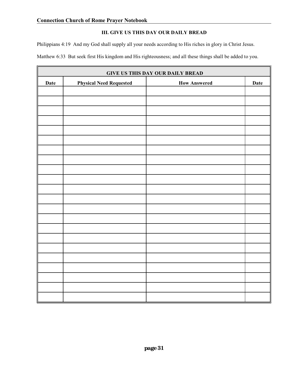#### **III. GIVE US THIS DAY OUR DAILY BREAD**

Philippians 4:19 And my God shall supply all your needs according to His riches in glory in Christ Jesus.

Matthew 6:33 But seek first His kingdom and His righteousness; and all these things shall be added to you.

| <b>GIVE US THIS DAY OUR DAILY BREAD</b> |                                |                     |             |
|-----------------------------------------|--------------------------------|---------------------|-------------|
| Date                                    | <b>Physical Need Requested</b> | <b>How Answered</b> | <b>Date</b> |
|                                         |                                |                     |             |
|                                         |                                |                     |             |
|                                         |                                |                     |             |
|                                         |                                |                     |             |
|                                         |                                |                     |             |
|                                         |                                |                     |             |
|                                         |                                |                     |             |
|                                         |                                |                     |             |
|                                         |                                |                     |             |
|                                         |                                |                     |             |
|                                         |                                |                     |             |
|                                         |                                |                     |             |
|                                         |                                |                     |             |
|                                         |                                |                     |             |
|                                         |                                |                     |             |
|                                         |                                |                     |             |
|                                         |                                |                     |             |
|                                         |                                |                     |             |
|                                         |                                |                     |             |
|                                         |                                |                     |             |
|                                         |                                |                     |             |
|                                         |                                |                     |             |
|                                         |                                |                     |             |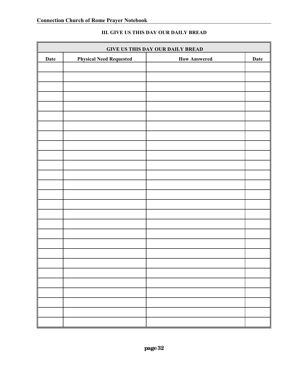| <b>GIVE US THIS DAY OUR DAILY BREAD</b> |                                |                     |      |
|-----------------------------------------|--------------------------------|---------------------|------|
| Date                                    | <b>Physical Need Requested</b> | <b>How Answered</b> | Date |
|                                         |                                |                     |      |
|                                         |                                |                     |      |
|                                         |                                |                     |      |
|                                         |                                |                     |      |
|                                         |                                |                     |      |
|                                         |                                |                     |      |
|                                         |                                |                     |      |
|                                         |                                |                     |      |
|                                         |                                |                     |      |
|                                         |                                |                     |      |
|                                         |                                |                     |      |
|                                         |                                |                     |      |
|                                         |                                |                     |      |
|                                         |                                |                     |      |
|                                         |                                |                     |      |
|                                         |                                |                     |      |
|                                         |                                |                     |      |
|                                         |                                |                     |      |
|                                         |                                |                     |      |
|                                         |                                |                     |      |
|                                         |                                |                     |      |
|                                         |                                |                     |      |
|                                         |                                |                     |      |
|                                         |                                |                     |      |
|                                         |                                |                     |      |
|                                         |                                |                     |      |
|                                         |                                |                     |      |
|                                         |                                |                     |      |

#### **III. GIVE US THIS DAY OUR DAILY BREAD**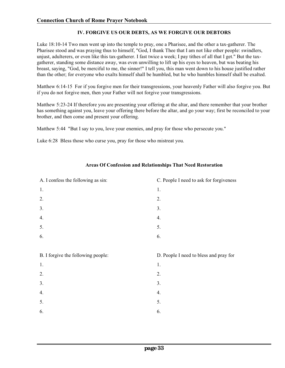#### **IV. FORGIVE US OUR DEBTS, AS WE FORGIVE OUR DEBTORS**

Luke 18:10-14 Two men went up into the temple to pray, one a Pharisee, and the other a tax-gatherer. The Pharisee stood and was praying thus to himself, "God, I thank Thee that I am not like other people: swindlers, unjust, adulterers, or even like this tax-gatherer. I fast twice a week; I pay tithes of all that I get." But the taxgatherer, standing some distance away, was even unwilling to lift up his eyes to heaven, but was beating his breast, saying, "God, be merciful to me, the sinner!" I tell you, this man went down to his house justified rather than the other; for everyone who exalts himself shall be humbled, but he who humbles himself shall be exalted.

Matthew 6:14-15 For if you forgive men for their transgressions, your heavenly Father will also forgive you. But if you do not forgive men, then your Father will not forgive your transgressions.

Matthew 5:23-24 If therefore you are presenting your offering at the altar, and there remember that your brother has something against you, leave your offering there before the altar, and go your way; first be reconciled to your brother, and then come and present your offering.

Matthew 5:44 "But I say to you, love your enemies, and pray for those who persecute you."

Luke 6:28 Bless those who curse you, pray for those who mistreat you.

| A. I confess the following as sin: | C. People I need to ask for forgiveness |  |
|------------------------------------|-----------------------------------------|--|
| 1.                                 | 1.                                      |  |
| 2.                                 | 2.                                      |  |
| 3.                                 | 3.                                      |  |
| 4.                                 | 4.                                      |  |
| 5.                                 | 5.                                      |  |
| 6.                                 | 6.                                      |  |
|                                    |                                         |  |
|                                    |                                         |  |
| B. I forgive the following people: | D. People I need to bless and pray for  |  |
| 1.                                 | 1.                                      |  |
| 2.                                 | 2.                                      |  |
| 3.                                 | 3.                                      |  |
| 4.                                 | 4.                                      |  |
| 5.                                 | 5.                                      |  |
| 6.                                 | 6.                                      |  |

#### **Areas Of Confession and Relationships That Need Restoration**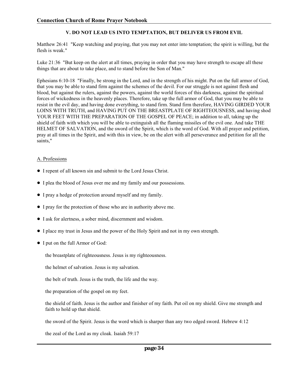#### **V. DO NOT LEAD US INTO TEMPTATION, BUT DELIVER US FROM EVIL**

Matthew 26:41 "Keep watching and praying, that you may not enter into temptation; the spirit is willing, but the flesh is weak."

Luke 21:36 "But keep on the alert at all times, praying in order that you may have strength to escape all these things that are about to take place, and to stand before the Son of Man."

Ephesians 6:10-18 "Finally, be strong in the Lord, and in the strength of his might. Put on the full armor of God, that you may be able to stand firm against the schemes of the devil. For our struggle is not against flesh and blood, but against the rulers, against the powers, against the world forces of this darkness, against the spiritual forces of wickedness in the heavenly places. Therefore, take up the full armor of God, that you may be able to resist in the evil day, and having done everything, to stand firm. Stand firm therefore, HAVING GIRDED YOUR LOINS WITH TRUTH, and HAVING PUT ON THE BREASTPLATE OF RIGHTEOUSNESS, and having shod YOUR FEET WITH THE PREPARATION OF THE GOSPEL OF PEACE; in addition to all, taking up the shield of faith with which you will be able to extinguish all the flaming missiles of the evil one. And take THE HELMET OF SALVATION, and the sword of the Spirit, which is the word of God. With all prayer and petition, pray at all times in the Spirit, and with this in view, be on the alert with all perseverance and petition for all the saints,"

#### A. Professions

- ! I repent of all known sin and submit to the Lord Jesus Christ.
- ! I plea the blood of Jesus over me and my family and our possessions.
- ! I pray a hedge of protection around myself and my family.
- ! I pray for the protection of those who are in authority above me.
- ! I ask for alertness, a sober mind, discernment and wisdom.
- ! I place my trust in Jesus and the power of the Holy Spirit and not in my own strength.
- ! I put on the full Armor of God:

the breastplate of righteousness. Jesus is my righteousness.

the helmet of salvation. Jesus is my salvation.

the belt of truth. Jesus is the truth, the life and the way.

the preparation of the gospel on my feet.

the shield of faith. Jesus is the author and finisher of my faith. Put oil on my shield. Give me strength and faith to hold up that shield.

the sword of the Spirit. Jesus is the word which is sharper than any two edged sword. Hebrew 4:12

the zeal of the Lord as my cloak. Isaiah 59:17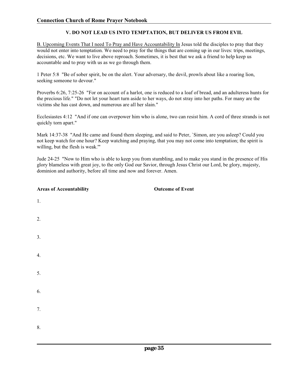#### **V. DO NOT LEAD US INTO TEMPTATION, BUT DELIVER US FROM EVIL**

B. Upcoming Events That I need To Pray and Have Accountability In Jesus told the disciples to pray that they would not enter into temptation. We need to pray for the things that are coming up in our lives: trips, meetings, decisions, etc. We want to live above reproach. Sometimes, it is best that we ask a friend to help keep us accountable and to pray with us as we go through them.

1 Peter 5:8 "Be of sober spirit, be on the alert. Your adversary, the devil, prowls about like a roaring lion, seeking someone to devour."

Proverbs 6:26, 7:25-26 "For on account of a harlot, one is reduced to a loaf of bread, and an adulteress hunts for the precious life." "Do not let your heart turn aside to her ways, do not stray into her paths. For many are the victims she has cast down, and numerous are all her slain."

Ecclesiastes 4:12 "And if one can overpower him who is alone, two can resist him. A cord of three strands is not quickly torn apart."

Mark 14:37-38 "And He came and found them sleeping, and said to Peter, `Simon, are you asleep? Could you not keep watch for one hour? Keep watching and praying, that you may not come into temptation; the spirit is willing, but the flesh is weak.'"

Jude 24-25 "Now to Him who is able to keep you from stumbling, and to make you stand in the presence of His glory blameless with great joy, to the only God our Savior, through Jesus Christ our Lord, be glory, majesty, dominion and authority, before all time and now and forever. Amen.

**Autricity Outcome of Event** 

| 1.               |  |  |  |
|------------------|--|--|--|
| 2.               |  |  |  |
| $\overline{3}$ . |  |  |  |
| 4.               |  |  |  |
| 5.               |  |  |  |
| 6.               |  |  |  |
| 7.               |  |  |  |
| 8.               |  |  |  |
|                  |  |  |  |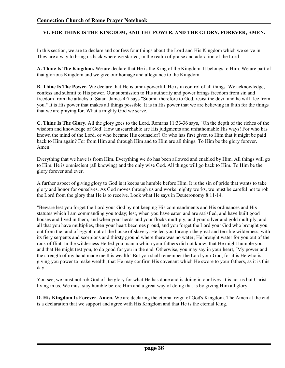#### **VI. FOR THINE IS THE KINGDOM, AND THE POWER, AND THE GLORY, FOREVER, AMEN.**

In this section, we are to declare and confess four things about the Lord and His Kingdom which we serve in. They are a way to bring us back where we started, in the realm of praise and adoration of the Lord.

**A. Thine Is The Kingdom.** We are declare that He is the King of the Kingdom. It belongs to Him. We are part of that glorious Kingdom and we give our homage and allegiance to the Kingdom.

**B. Thine Is The Power.** We declare that He is omni-powerful. He is in control of all things. We acknowledge, confess and submit to His power. Our submission to His authority and power brings freedom from sin and freedom from the attacks of Satan. James 4:7 says "Submit therefore to God, resist the devil and he will flee from you." It is His power that makes all things possible. It is in His power that we are believing in faith for the things that we are praying for. What a mighty God we serve.

**C. Thine Is The Glory.** All the glory goes to the Lord. Romans 11:33-36 says, "Oh the depth of the riches of the wisdom and knowledge of God! How unsearchable are His judgments and unfathomable His ways! For who has known the mind of the Lord, or who became His counselor? Or who has first given to Him that it might be paid back to Him again? For from Him and through Him and to Him are all things. To Him be the glory forever. Amen."

Everything that we have is from Him. Everything we do has been allowed and enabled by Him. All things will go to Him. He is omniscient (all knowing) and the only wise God. All things will go back to Him. To Him be the glory forever and ever.

A further aspect of giving glory to God is it keeps us humble before Him. It is the sin of pride that wants to take glory and honor for ourselves. As God moves through us and works mighty works, we must be careful not to rob the Lord from the glory that He is to receive. Look what He says in Deuteronomy 8:11-14.

"Beware lest you forget the Lord your God by not keeping His commandments and His ordinances and His statutes which I am commanding you today; lest, when you have eaten and are satisfied, and have built good houses and lived in them, and when your herds and your flocks multiply, and your silver and gold multiply, and all that you have multiplies, then your heart becomes proud, and you forget the Lord your God who brought you out from the land of Egypt, out of the house of slavery. He led you through the great and terrible wilderness, with its fiery serpents and scorpions and thirsty ground where there was no water; He brought water for you out of the rock of flint. In the wilderness He fed you manna which your fathers did not know, that He might humble you and that He might test you, to do good for you in the end. Otherwise, you may say in your heart, `My power and the strength of my hand made me this wealth.' But you shall remember the Lord your God, for it is He who is giving you power to make wealth, that He may confirm His covenant which He swore to your fathers, as it is this day."

You see, we must not rob God of the glory for what He has done and is doing in our lives. It is not us but Christ living in us. We must stay humble before Him and a great way of doing that is by giving Him all glory.

**D. His Kingdom Is Forever. Amen.** We are declaring the eternal reign of God's Kingdom. The Amen at the end is a declaration that we support and agree with His Kingdom and that He is the eternal King.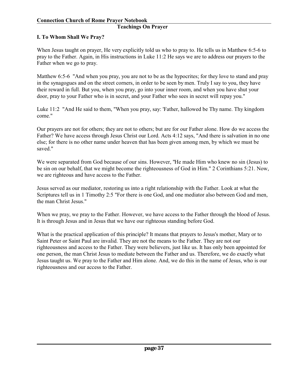# **I. To Whom Shall We Pray?**

When Jesus taught on prayer, He very explicitly told us who to pray to. He tells us in Matthew 6:5-6 to pray to the Father. Again, in His instructions in Luke 11:2 He says we are to address our prayers to the Father when we go to pray.

Matthew 6:5-6 "And when you pray, you are not to be as the hypocrites; for they love to stand and pray in the synagogues and on the street corners, in order to be seen by men. Truly I say to you, they have their reward in full. But you, when you pray, go into your inner room, and when you have shut your door, pray to your Father who is in secret, and your Father who sees in secret will repay you."

Luke 11:2 "And He said to them, "When you pray, say: 'Father, hallowed be Thy name. Thy kingdom come."

Our prayers are not for others; they are not to others; but are for our Father alone. How do we access the Father? We have access through Jesus Christ our Lord. Acts 4:12 says, "And there is salvation in no one else; for there is no other name under heaven that has been given among men, by which we must be saved."

We were separated from God because of our sins. However, "He made Him who knew no sin (Jesus) to be sin on our behalf, that we might become the righteousness of God in Him." 2 Corinthians 5:21. Now, we are righteous and have access to the Father.

Jesus served as our mediator, restoring us into a right relationship with the Father. Look at what the Scriptures tell us in 1 Timothy 2:5 "For there is one God, and one mediator also between God and men, the man Christ Jesus."

When we pray, we pray to the Father. However, we have access to the Father through the blood of Jesus. It is through Jesus and in Jesus that we have our righteous standing before God.

What is the practical application of this principle? It means that prayers to Jesus's mother, Mary or to Saint Peter or Saint Paul are invalid. They are not the means to the Father. They are not our righteousness and access to the Father. They were believers, just like us. It has only been appointed for one person, the man Christ Jesus to mediate between the Father and us. Therefore, we do exactly what Jesus taught us. We pray to the Father and Him alone. And, we do this in the name of Jesus, who is our righteousness and our access to the Father.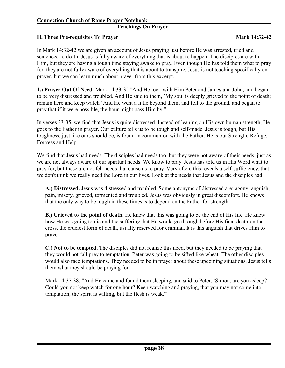#### **Teachings On Prayer**

#### **II. Three Pre-requisites To Prayer Mark 14:32-42**

In Mark 14:32-42 we are given an account of Jesus praying just before He was arrested, tried and sentenced to death. Jesus is fully aware of everything that is about to happen. The disciples are with Him, but they are having a tough time staying awake to pray. Even though He has told them what to pray for, they are not fully aware of everything that is about to transpire. Jesus is not teaching specifically on prayer, but we can learn much about prayer from this excerpt.

**1.) Prayer Out Of Need.** Mark 14:33-35 "And He took with Him Peter and James and John, and began to be very distressed and troubled. And He said to them, `My soul is deeply grieved to the point of death; remain here and keep watch.' And He went a little beyond them, and fell to the ground, and began to pray that if it were possible, the hour might pass Him by."

In verses 33-35, we find that Jesus is quite distressed. Instead of leaning on His own human strength, He goes to the Father in prayer. Our culture tells us to be tough and self-made. Jesus is tough, but His toughness, just like ours should be, is found in communion with the Father. He is our Strength, Refuge, Fortress and Help.

We find that Jesus had needs. The disciples had needs too, but they were not aware of their needs, just as we are not always aware of our spiritual needs. We know to pray. Jesus has told us in His Word what to pray for, but these are not felt needs that cause us to pray. Very often, this reveals a self-sufficiency, that we don't think we really need the Lord in our lives. Look at the needs that Jesus and the disciples had.

**A.) Distressed.** Jesus was distressed and troubled. Some antonyms of distressed are: agony, anguish, pain, misery, grieved, tormented and troubled. Jesus was obviously in great discomfort. He knows that the only way to be tough in these times is to depend on the Father for strength.

**B.) Grieved to the point of death.** He knew that this was going to be the end of His life. He knew how He was going to die and the suffering that He would go through before His final death on the cross, the cruelest form of death, usually reserved for criminal. It is this anguish that drives Him to prayer.

**C.) Not to be tempted.** The disciples did not realize this need, but they needed to be praying that they would not fall prey to temptation. Peter was going to be sifted like wheat. The other disciples would also face temptations. They needed to be in prayer about these upcoming situations. Jesus tells them what they should be praying for.

Mark 14:37-38. "And He came and found them sleeping, and said to Peter, `Simon, are you asleep? Could you not keep watch for one hour? Keep watching and praying, that you may not come into temptation; the spirit is willing, but the flesh is weak.'"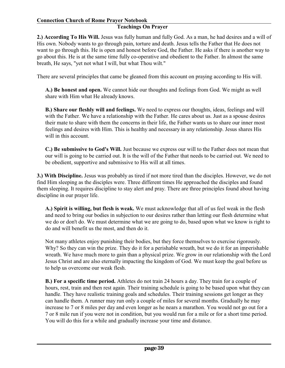# **Teachings On Prayer**

**2.) According To His Will.** Jesus was fully human and fully God. As a man, he had desires and a will of His own. Nobody wants to go through pain, torture and death. Jesus tells the Father that He does not want to go through this. He is open and honest before God, the Father. He asks if there is another way to go about this. He is at the same time fully co-operative and obedient to the Father. In almost the same breath, He says, "yet not what I will, but what Thou wilt."

There are several principles that came be gleaned from this account on praying according to His will.

**A.) Be honest and open.** We cannot hide our thoughts and feelings from God. We might as well share with Him what He already knows.

**B.) Share our fleshly will and feelings.** We need to express our thoughts, ideas, feelings and will with the Father. We have a relationship with the Father. He cares about us. Just as a spouse desires their mate to share with them the concerns in their life, the Father wants us to share our inner most feelings and desires with Him. This is healthy and necessary in any relationship. Jesus shares His will in this account.

**C.) Be submissive to God's Will.** Just because we express our will to the Father does not mean that our will is going to be carried out. It is the will of the Father that needs to be carried out. We need to be obedient, supportive and submissive to His will at all times.

**3.) With Discipline.** Jesus was probably as tired if not more tired than the disciples. However, we do not find Him sleeping as the disciples were. Three different times He approached the disciples and found them sleeping. It requires discipline to stay alert and pray. There are three principles found about having discipline in our prayer life.

**A.) Spirit is willing, but flesh is weak.** We must acknowledge that all of us feel weak in the flesh and need to bring our bodies in subjection to our desires rather than letting our flesh determine what we do or don't do. We must determine what we are going to do, based upon what we know is right to do and will benefit us the most, and then do it.

Not many athletes enjoy punishing their bodies, but they force themselves to exercise rigorously. Why? So they can win the prize. They do it for a perishable wreath, but we do it for an imperishable wreath. We have much more to gain than a physical prize. We grow in our relationship with the Lord Jesus Christ and are also eternally impacting the kingdom of God. We must keep the goal before us to help us overcome our weak flesh.

**B.) For a specific time period.** Athletes do not train 24 hours a day. They train for a couple of hours, rest, train and then rest again. Their training schedule is going to be based upon what they can handle. They have realistic training goals and schedules. Their training sessions get longer as they can handle them. A runner may run only a couple of miles for several months. Gradually he may increase to 7 or 8 miles per day and even longer as he nears a marathon. You would not go out for a 7 or 8 mile run if you were not in condition, but you would run for a mile or for a short time period. You will do this for a while and gradually increase your time and distance.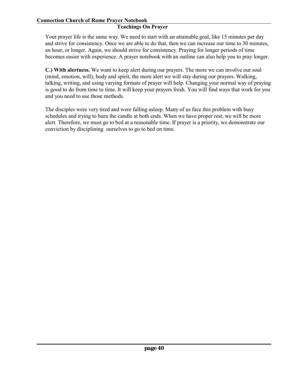#### **Teachings On Prayer**

Your prayer life is the same way. We need to start with an attainable goal, like 15 minutes per day and strive for consistency. Once we are able to do that, then we can increase our time to 30 minutes, an hour, or longer. Again, we should strive for consistency. Praying for longer periods of time becomes easier with experience. A prayer notebook with an outline can also help you to pray longer.

**C.) With alertness.** We want to keep alert during our prayers. The more we can involve our soul (mind, emotion, will), body and spirit, the more alert we will stay during our prayers. Walking, talking, writing, and using varying formats of prayer will help. Changing your normal way of praying is good to do from time to time. It will keep your prayers fresh. You will find ways that work for you and you need to use those methods.

The disciples were very tired and were falling asleep. Many of us face this problem with busy schedules and trying to burn the candle at both ends. When we have proper rest, we will be more alert. Therefore, we must go to bed at a reasonable time. If prayer is a priority, we demonstrate our conviction by disciplining ourselves to go to bed on time.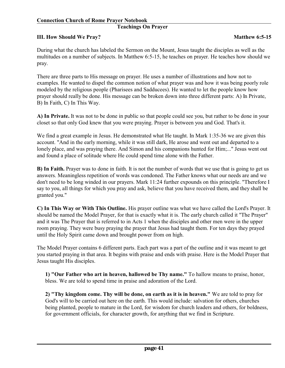# **Teachings On Prayer**

#### **III.** How Should We Pray? **Matthew 6:5-15**

During what the church has labeled the Sermon on the Mount, Jesus taught the disciples as well as the multitudes on a number of subjects. In Matthew 6:5-15, he teaches on prayer. He teaches how should we pray.

There are three parts to His message on prayer. He uses a number of illustrations and how not to examples. He wanted to dispel the common notion of what prayer was and how it was being poorly role modeled by the religious people (Pharisees and Sadducees). He wanted to let the people know how prayer should really be done. His message can be broken down into three different parts: A) In Private, B) In Faith, C) In This Way.

**A) In Private.** It was not to be done in public so that people could see you, but rather to be done in your closet so that only God knew that you were praying. Prayer is between you and God. That's it.

We find a great example in Jesus. He demonstrated what He taught. In Mark 1:35-36 we are given this account. "And in the early morning, while it was still dark, He arose and went out and departed to a lonely place, and was praying there. And Simon and his companions hunted for Him;..." Jesus went out and found a place of solitude where He could spend time alone with the Father.

**B) In Faith.** Prayer was to done in faith. It is not the number of words that we use that is going to get us answers. Meaningless repetition of words was condoned. The Father knows what our needs are and we don't need to be long winded in our prayers. Mark 11:24 further expounds on this principle. "Therefore I say to you, all things for which you pray and ask, believe that you have received them, and they shall be granted you."

**C) In This Way or With This Outline.** His prayer outline was what we have called the Lord's Prayer. It should be named the Model Prayer, for that is exactly what it is. The early church called it "The Prayer" and it was The Prayer that is referred to in Acts 1 when the disciples and other men were in the upper room praying. They were busy praying the prayer that Jesus had taught them. For ten days they prayed until the Holy Spirit came down and brought power from on high.

The Model Prayer contains 6 different parts. Each part was a part of the outline and it was meant to get you started praying in that area. It begins with praise and ends with praise. Here is the Model Prayer that Jesus taught His disciples.

**1) "Our Father who art in heaven, hallowed be Thy name."** To hallow means to praise, honor, bless. We are told to spend time in praise and adoration of the Lord.

**2) "Thy kingdom come. Thy will be done, on earth as it is in heaven."** We are told to pray for God's will to be carried out here on the earth. This would include: salvation for others, churches being planted, people to mature in the Lord, for wisdom for church leaders and others, for boldness, for government officials, for character growth, for anything that we find in Scripture.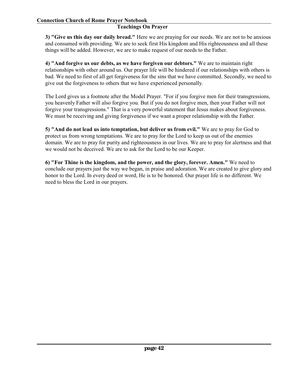**3) "Give us this day our daily bread."** Here we are praying for our needs. We are not to be anxious and consumed with providing. We are to seek first His kingdom and His righteousness and all these things will be added. However, we are to make request of our needs to the Father.

**4) "And forgive us our debts, as we have forgiven our debtors."** We are to maintain right relationships with other around us. Our prayer life will be hindered if our relationships with others is bad. We need to first of all get forgiveness for the sins that we have committed. Secondly, we need to give out the forgiveness to others that we have experienced personally.

The Lord gives us a footnote after the Model Prayer. "For if you forgive men for their transgressions, you heavenly Father will also forgive you. But if you do not forgive men, then your Father will not forgive your transgressions." That is a very powerful statement that Jesus makes about forgiveness. We must be receiving and giving forgiveness if we want a proper relationship with the Father.

**5) "And do not lead us into temptation, but deliver us from evil."** We are to pray for God to protect us from wrong temptations. We are to pray for the Lord to keep us out of the enemies domain. We are to pray for purity and righteousness in our lives. We are to pray for alertness and that we would not be deceived. We are to ask for the Lord to be our Keeper.

**6) "For Thine is the kingdom, and the power, and the glory, forever. Amen."** We need to conclude our prayers just the way we began, in praise and adoration. We are created to give glory and honor to the Lord. In every deed or word, He is to be honored. Our prayer life is no different. We need to bless the Lord in our prayers.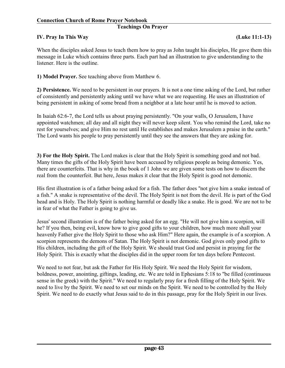#### **Teachings On Prayer**

#### **IV. Pray In This Way (Luke 11:1-13)**

When the disciples asked Jesus to teach them how to pray as John taught his disciples, He gave them this message in Luke which contains three parts. Each part had an illustration to give understanding to the listener. Here is the outline.

**1) Model Prayer.** See teaching above from Matthew 6.

**2) Persistence.** We need to be persistent in our prayers. It is not a one time asking of the Lord, but rather of consistently and persistently asking until we have what we are requesting. He uses an illustration of being persistent in asking of some bread from a neighbor at a late hour until he is moved to action.

In Isaiah 62:6-7, the Lord tells us about praying persistently. "On your walls, O Jerusalem, I have appointed watchmen; all day and all night they will never keep silent. You who remind the Lord, take no rest for yourselves; and give Him no rest until He establishes and makes Jerusalem a praise in the earth." The Lord wants his people to pray persistently until they see the answers that they are asking for.

**3) For the Holy Spirit.** The Lord makes is clear that the Holy Spirit is something good and not bad. Many times the gifts of the Holy Spirit have been accused by religious people as being demonic. Yes, there are counterfeits. That is why in the book of 1 John we are given some tests on how to discern the real from the counterfeit. But here, Jesus makes it clear that the Holy Spirit is good not demonic.

His first illustration is of a father being asked for a fish. The father does "not give him a snake instead of a fish." A snake is representative of the devil. The Holy Spirit is not from the devil. He is part of the God head and is Holy. The Holy Spirit is nothing harmful or deadly like a snake. He is good. We are not to be in fear of what the Father is going to give us.

Jesus' second illustration is of the father being asked for an egg. "He will not give him a scorpion, will he? If you then, being evil, know how to give good gifts to your children, how much more shall your heavenly Father give the Holy Spirit to those who ask Him?" Here again, the example is of a scorpion. A scorpion represents the demons of Satan. The Holy Spirit is not demonic. God gives only good gifts to His children, including the gift of the Holy Spirit. We should trust God and persist in praying for the Holy Spirit. This is exactly what the disciples did in the upper room for ten days before Pentecost.

We need to not fear, but ask the Father for His Holy Spirit. We need the Holy Spirit for wisdom, boldness, power, anointing, giftings, leading, etc. We are told in Ephesians 5:18 to "be filled (continuous sense in the greek) with the Spirit." We need to regularly pray for a fresh filling of the Holy Spirit. We need to live by the Spirit. We need to set our minds on the Spirit. We need to be controlled by the Holy Spirit. We need to do exactly what Jesus said to do in this passage, pray for the Holy Spirit in our lives.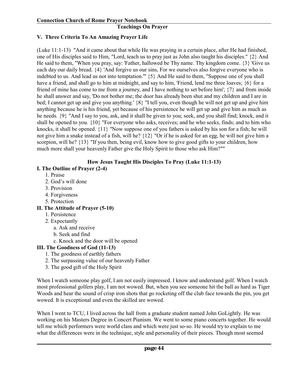# **V. Three Criteria To An Amazing Prayer Life**

(Luke 11:1-13) "And it came about that while He was praying in a certain place, after He had finished, one of His disciples said to Him, "Lord, teach us to pray just as John also taught his disciples." {2} And He said to them, "When you pray, say: 'Father, hallowed be Thy name. Thy kingdom come. {3} 'Give us each day our daily bread. {4} 'And forgive us our sins, For we ourselves also forgive everyone who is indebted to us. And lead us not into temptation.'" {5} And He said to them, "Suppose one of you shall have a friend, and shall go to him at midnight, and say to him, 'Friend, lend me three loaves; {6} for a friend of mine has come to me from a journey, and I have nothing to set before him'; {7} and from inside he shall answer and say, 'Do not bother me; the door has already been shut and my children and I are in bed; I cannot get up and give you anything.' {8} "I tell you, even though he will not get up and give him anything because he is his friend, yet because of his persistence he will get up and give him as much as he needs. {9} "And I say to you, ask, and it shall be given to you; seek, and you shall find; knock, and it shall be opened to you. {10} "For everyone who asks, receives; and he who seeks, finds; and to him who knocks, it shall be opened. {11} "Now suppose one of you fathers is asked by his son for a fish; he will not give him a snake instead of a fish, will he? {12} "Or if he is asked for an egg, he will not give him a scorpion, will he? {13} "If you then, being evil, know how to give good gifts to your children, how much more shall your heavenly Father give the Holy Spirit to those who ask Him?""

# **How Jesus Taught His Disciples To Pray (Luke 11:1-13)**

# **I. The Outline of Prayer (2-4)**

- 1. Praise
- 2. God's will done
- 3. Provision
- 4. Forgiveness
- 5. Protection

# **II. The Attitude of Prayer (5-10)**

- 1. Persistence
- 2. Expectantly
	- a. Ask and receive
	- b. Seek and find
	- c. Knock and the door will be opened

# **III. The Goodness of God (11-13)**

- 1. The goodness of earthly fathers
- 2. The surpassing value of our heavenly Father
- 3. The good gift of the Holy Spirit

When I watch someone play golf, I am not easily impressed. I know and understand golf. When I watch most professional golfers play, I am not wowed. But, when you see someone hit the ball as hard as Tiger Woods and hear the sound of crisp iron shots that go rocketing off the club face towards the pin, you get wowed. It is exceptional and even the skilled are wowed.

When I went to TCU, I lived across the hall from a graduate student named John GoLightly. He was working on his Masters Degree in Concert Pianism. We went to some piano concerts together. He would tell me which performers were world class and which were just so-so. He would try to explain to me what the differences were in the technique, style and personality of their pieces. Though most seemed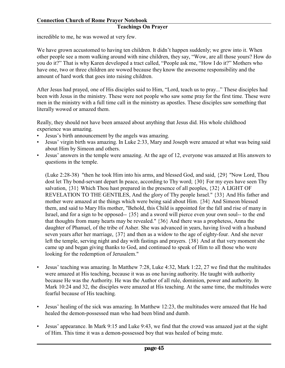# **Teachings On Prayer**

incredible to me, he was wowed at very few.

We have grown accustomed to having ten children. It didn't happen suddenly; we grew into it. When other people see a mom walking around with nine children, they say, "Wow, are all those yours? How do you do it?" That is why Karen developed a tract called, "People ask me, "How I do it?" Mothers who have one, two or three children are wowed because they know the awesome responsibility and the amount of hard work that goes into raising children.

After Jesus had prayed, one of His disciples said to Him, "Lord, teach us to pray..." These disciples had been with Jesus in the ministry. These were not people who saw some pray for the first time. These were men in the ministry with a full time call in the ministry as apostles. These disciples saw something that literally wowed or amazed them.

Really, they should not have been amazed about anything that Jesus did. His whole childhood experience was amazing.

- Jesus's birth announcement by the angels was amazing.
- Jesus' virgin birth was amazing. In Luke 2:33, Mary and Joseph were amazed at what was being said about Him by Simeon and others.
- Jesus' answers in the temple were amazing. At the age of 12, everyone was amazed at His answers to questions in the temple.

(Luke 2:28-38) "then he took Him into his arms, and blessed God, and said, {29} "Now Lord, Thou dost let Thy bond-servant depart In peace, according to Thy word; {30} For my eyes have seen Thy salvation, {31} Which Thou hast prepared in the presence of all peoples, {32} A LIGHT OF REVELATION TO THE GENTILES, And the glory of Thy people Israel." {33} And His father and mother were amazed at the things which were being said about Him. {34} And Simeon blessed them, and said to Mary His mother, "Behold, this Child is appointed for the fall and rise of many in Israel, and for a sign to be opposed-- {35} and a sword will pierce even your own soul-- to the end that thoughts from many hearts may be revealed." {36} And there was a prophetess, Anna the daughter of Phanuel, of the tribe of Asher. She was advanced in years, having lived with a husband seven years after her marriage, {37} and then as a widow to the age of eighty-four. And she never left the temple, serving night and day with fastings and prayers. {38} And at that very moment she came up and began giving thanks to God, and continued to speak of Him to all those who were looking for the redemption of Jerusalem."

- Jesus' teaching was amazing. In Matthew 7:28, Luke 4:32, Mark 1:22, 27 we find that the multitudes were amazed at His teaching, because it was as one having authority. He taught with authority because He was the Authority. He was the Author of all rule, dominion, power and authority. In Mark 10:24 and 32, the disciples were amazed at His teaching. At the same time, the multitudes were fearful because of His teaching.
- Jesus' healing of the sick was amazing. In Matthew 12:23, the multitudes were amazed that He had healed the demon-possessed man who had been blind and dumb.
- Jesus' appearance. In Mark 9:15 and Luke 9:43, we find that the crowd was amazed just at the sight of Him. This time it was a demon-possessed boy that was healed of being mute.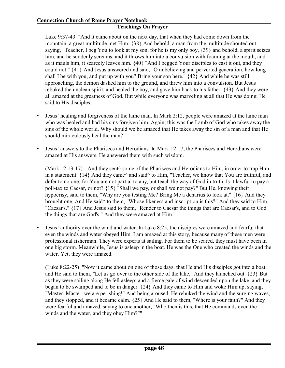#### **Teachings On Prayer**

Luke 9:37-43 "And it came about on the next day, that when they had come down from the mountain, a great multitude met Him. {38} And behold, a man from the multitude shouted out, saying, "Teacher, I beg You to look at my son, for he is my only boy, {39} and behold, a spirit seizes him, and he suddenly screams, and it throws him into a convulsion with foaming at the mouth, and as it mauls him, it scarcely leaves him. {40} "And I begged Your disciples to cast it out, and they could not." {41} And Jesus answered and said, "O unbelieving and perverted generation, how long shall I be with you, and put up with you? Bring your son here." {42} And while he was still approaching, the demon dashed him to the ground, and threw him into a convulsion. But Jesus rebuked the unclean spirit, and healed the boy, and gave him back to his father. {43} And they were all amazed at the greatness of God. But while everyone was marveling at all that He was doing, He said to His disciples,"

- Jesus' healing and forgiveness of the lame man. In Mark 2:12, people were amazed at the lame man who was healed and had his sins forgiven him. Again, this was the Lamb of God who takes away the sins of the whole world. Why should we be amazed that He takes away the sin of a man and that He should miraculously heal the man?
- Jesus' answers to the Pharisees and Herodians. In Mark 12:17, the Pharisees and Herodians were amazed at His answers. He answered them with such wisdom.

(Mark 12:13-17) "And they sent^ some of the Pharisees and Herodians to Him, in order to trap Him in a statement.  $\{14\}$  And they came<sup> $\land$ </sup> and said<sup> $\land$ </sup> to Him, "Teacher, we know that You are truthful, and defer to no one; for You are not partial to any, but teach the way of God in truth. Is it lawful to pay a poll-tax to Caesar, or not? {15} "Shall we pay, or shall we not pay?" But He, knowing their hypocrisy, said to them, "Why are you testing Me? Bring Me a denarius to look at." {16} And they brought one. And He said^ to them, "Whose likeness and inscription is this?" And they said to Him, "Caesar's." {17} And Jesus said to them, "Render to Caesar the things that are Caesar's, and to God the things that are God's." And they were amazed at Him."

• Jesus' authority over the wind and water. In Luke 8:25, the disciples were amazed and fearful that even the winds and water obeyed Him. I am amazed at this story, because many of these men were professional fisherman. They were experts at sailing. For them to be scared, they must have been in one big storm. Meanwhile, Jesus is asleep in the boat. He was the One who created the winds and the water. Yet, they were amazed.

(Luke 8:22-25) "Now it came about on one of those days, that He and His disciples got into a boat, and He said to them, "Let us go over to the other side of the lake." And they launched out. {23} But as they were sailing along He fell asleep; and a fierce gale of wind descended upon the lake, and they began to be swamped and to be in danger. {24} And they came to Him and woke Him up, saying, "Master, Master, we are perishing!" And being aroused, He rebuked the wind and the surging waves, and they stopped, and it became calm. {25} And He said to them, "Where is your faith?" And they were fearful and amazed, saying to one another, "Who then is this, that He commands even the winds and the water, and they obey Him?""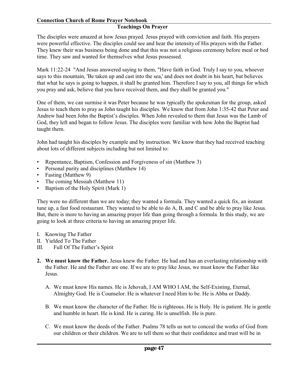#### **Teachings On Prayer**

The disciples were amazed at how Jesus prayed. Jesus prayed with conviction and faith. His prayers were powerful effective. The disciples could see and hear the intensity of His prayers with the Father. They knew their was business being done and that this was not a religious ceremony before meal or bed time. They saw and wanted for themselves what Jesus possessed.

Mark 11:22-24 "And Jesus answered saying to them, "Have faith in God. Truly I say to you, whoever says to this mountain, 'Be taken up and cast into the sea,' and does not doubt in his heart, but believes that what he says is going to happen, it shall be granted him. Therefore I say to you, all things for which you pray and ask, believe that you have received them, and they shall be granted you."

One of them, we can surmise it was Peter because he was typically the spokesman for the group, asked Jesus to teach them to pray as John taught his disciples. We know that from John 1:35-42 that Peter and Andrew had been John the Baptist's disciples. When John revealed to them that Jesus was the Lamb of God, they left and began to follow Jesus. The disciples were familiar with how John the Baptist had taught them.

John had taught his disciples by example and by instruction. We know that they had received teaching about lots of different subjects including but not limited to:

- Repentance, Baptism, Confession and Forgiveness of sin (Matthew 3)
- Personal purity and disciplines (Matthew 14)
- Fasting (Matthew 9)
- The coming Messiah (Matthew 11)
- Baptism of the Holy Spirit (Mark 1)

They were no different than we are today; they wanted a formula. They wanted a quick fix, an instant tune up, a fast food restaurant. They wanted to be able to do A, B, and C and be able to pray like Jesus. But, there is more to having an amazing prayer life than going through a formula. In this study, we are going to look at three criteria to having an amazing prayer life.

- I. Knowing The Father
- II. Yielded To The Father
- III. Full Of The Father's Spirit
- **2. We must know the Father.** Jesus knew the Father. He had and has an everlasting relationship with the Father. He and the Father are one. If we are to pray like Jesus, we must know the Father like Jesus.
	- A. We must know His names. He is Jehovah, I AM WHO I AM, the Self-Existing, Eternal, Almighty God. He is Counselor. He is whatever I need Him to be. He is Abba or Daddy.
	- B. We must know the character of the Father. He is righteous. He is Holy. He is patient. He is gentle and humble in heart. He is kind. He is caring. He is unselfish. He is pure.
	- C. We must know the deeds of the Father. Psalms 78 tells us not to conceal the works of God from our children or their children. We are to tell them so that their confidence and trust will be in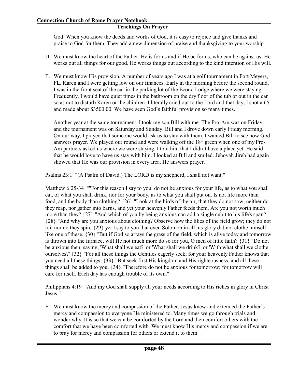God. When you know the deeds and works of God, it is easy to rejoice and give thanks and praise to God for them. They add a new dimension of praise and thanksgiving to your worship.

- D. We must know the heart of the Father. He is for us and if He be for us, who can be against us. He works out all things for our good. He works things out according to the kind intention of His will.
- E. We must know His provision. A number of years ago I was at a golf tournament in Fort Meyers, FL. Karen and I were getting low on our finances. Early in the morning before the second round, I was in the front seat of the car in the parking lot of the Econo Lodge where we were staying. Frequently, I would have quiet times in the bathroom on the dry floor of the tub or out in the car so as not to disturb Karen or the children. I literally cried out to the Lord and that day, I shot a 65 and made about \$3500.00. We have seen God's faithful provision so many times.

Another year at the same tournament, I took my son Bill with me. The Pro-Am was on Friday and the tournament was on Saturday and Sunday. Bill and I drove down early Friday morning. On our way, I prayed that someone would ask us to stay with them. I wanted Bill to see how God answers prayer. We played our round and were walking off the 18<sup>th</sup> green when one of my Pro-Am partners asked us where we were staying. I told him that I didn't have a place yet. He said that he would love to have us stay with him. I looked at Bill and smiled. Jehovah Jireh had again showed that He was our provision in every area. He answers prayer.

Psalms 23:1 "(A Psalm of David.) The LORD is my shepherd, I shall not want."

Matthew 6:25-34 ""For this reason I say to you, do not be anxious for your life, as to what you shall eat, or what you shall drink; nor for your body, as to what you shall put on. Is not life more than food, and the body than clothing? {26} "Look at the birds of the air, that they do not sow, neither do they reap, nor gather into barns, and yet your heavenly Father feeds them. Are you not worth much more than they? {27} "And which of you by being anxious can add a single cubit to his life's span? {28} "And why are you anxious about clothing? Observe how the lilies of the field grow; they do not toil nor do they spin, {29} yet I say to you that even Solomon in all his glory did not clothe himself like one of these. {30} "But if God so arrays the grass of the field, which is alive today and tomorrow is thrown into the furnace, will He not much more do so for you, O men of little faith? {31} "Do not be anxious then, saying, 'What shall we eat?' or 'What shall we drink?' or 'With what shall we clothe ourselves?' {32} "For all these things the Gentiles eagerly seek; for your heavenly Father knows that you need all these things. {33} "But seek first His kingdom and His righteousness; and all these things shall be added to you. {34} "Therefore do not be anxious for tomorrow; for tomorrow will care for itself. Each day has enough trouble of its own."

Philippians 4:19 "And my God shall supply all your needs according to His riches in glory in Christ Jesus."

F. We must know the mercy and compassion of the Father. Jesus knew and extended the Father's mercy and compassion to everyone He ministered to. Many times we go through trials and wonder why. It is so that we can be comforted by the Lord and then comfort others with the comfort that we have been comforted with. We must know His mercy and compassion if we are to pray for mercy and compassion for others or extend it to them.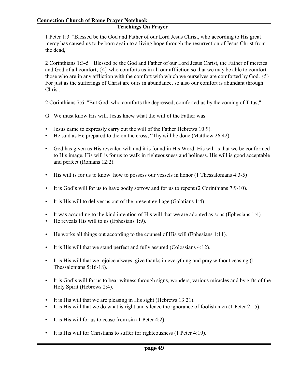1 Peter 1:3 "Blessed be the God and Father of our Lord Jesus Christ, who according to His great mercy has caused us to be born again to a living hope through the resurrection of Jesus Christ from the dead,"

2 Corinthians 1:3-5 "Blessed be the God and Father of our Lord Jesus Christ, the Father of mercies and God of all comfort; {4} who comforts us in all our affliction so that we may be able to comfort those who are in any affliction with the comfort with which we ourselves are comforted by God. {5} For just as the sufferings of Christ are ours in abundance, so also our comfort is abundant through Christ."

2 Corinthians 7:6 "But God, who comforts the depressed, comforted us by the coming of Titus;"

- G. We must know His will. Jesus knew what the will of the Father was.
- Jesus came to expressly carry out the will of the Father Hebrews 10:9).
- He said as He prepared to die on the cross, "Thy will be done (Matthew 26:42).
- God has given us His revealed will and it is found in His Word. His will is that we be conformed to His image. His will is for us to walk in righteousness and holiness. His will is good acceptable and perfect (Romans 12:2).
- His will is for us to know how to possess our vessels in honor (1 Thessalonians 4:3-5)
- It is God's will for us to have godly sorrow and for us to repent (2 Corinthians 7:9-10).
- It is His will to deliver us out of the present evil age (Galatians 1:4).
- It was according to the kind intention of His will that we are adopted as sons (Ephesians 1:4).
- He reveals His will to us (Ephesians 1:9).
- He works all things out according to the counsel of His will (Ephesians 1:11).
- It is His will that we stand perfect and fully assured (Colossians 4:12).
- It is His will that we rejoice always, give thanks in everything and pray without ceasing (1 Thessalonians 5:16-18).
- It is God's will for us to bear witness through signs, wonders, various miracles and by gifts of the Holy Spirit (Hebrews 2:4).
- It is His will that we are pleasing in His sight (Hebrews 13:21).
- It is His will that we do what is right and silence the ignorance of foolish men (1 Peter 2:15).
- It is His will for us to cease from sin (1 Peter 4:2).
- It is His will for Christians to suffer for righteousness (1 Peter 4:19).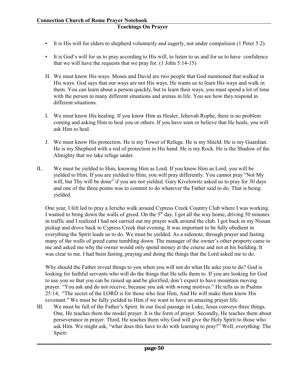- It is His will for elders to shepherd voluntarily and eagerly, not under compulsion (1 Peter 5:2).
- It is God's will for us to pray according to His will, to listen to us and for us to have confidence that we will have the requests that we pray for. (1 John 5:14-15)
- H. We must know His ways. Moses and David are two people that God mentioned that walked in His ways. God says that our ways are not His ways. He wants us to learn His ways and walk in them. You can learn about a person quickly, but to learn their ways, you must spend a lot of time with the person in many different situations and arenas in life. You see how they respond in different situations.
- I. We must know His healing. If you know Him as Healer, Jehovah Rophe, there is no problem coming and asking Him to heal you or others. If you have seen or believe that He heals, you will ask Him to heal.
- J. We must know His protection. He is my Tower of Refuge. He is my Shield. He is my Guardian. He is my Shepherd with a rod of protection in His hand. He is my Rock. He is the Shadow of the Almighty that we take refuge under.
- II.. We must be yielded to Him, knowing Him as Lord. If you know Him as Lord, you will be yielded to Him. If you are yielded to Him, you will pray differently. You cannot pray "Not My will, but Thy will be done" if you are not yielded. Gary Kivelowitz asked us to pray for 30 days and one of the three points was to commit to do whatever the Father said to do. That is being yielded.

One year, I felt led to pray a Jericho walk around Cypress Creek Country Club where I was working. I wanted to bring down the walls of greed. On the 5<sup>th</sup> day, I got all the way home, driving 50 minutes in traffic and I realized I had not carried out my prayer walk around the club. I got back in my Nissan pickup and drove back to Cypress Creek that evening. It was important to be fully obedient in everything the Spirit leads us to do. We must be yielded. As a sidenote, through prayer and fasting many of the walls of greed came tumbling down. The manager of the owner's other property came to me and asked me why the owner would only spend money at the course and not at his building. It was clear to me. I had been fasting, praying and doing the things that the Lord asked me to do.

Why should the Father reveal things to you when you will not do what He asks you to do? God is looking for faithful servants who will do the things that He tells them to. If you are looking for God to use you so that you can be raised up and be glorified, don't expect to have mountain moving prayer. "You ask and do not receive, because you ask with wrong motives." He tells us in Psalms 25:14, "The secret of the LORD is for those who fear Him, And He will make them know His covenant." We must be fully yielded to Him if we want to have an amazing prayer life.

III. We must be full of the Father's Spirit. In our focal passage in Luke, Jesus conveys three things. One, He teaches them the model prayer. It is the form of prayer. Secondly, He teaches them about perseverance in prayer. Third, He teaches them why God will give the Holy Spirit to those who ask Him. We might ask, "what does this have to do with learning to pray?" Well, everything. The Spirit: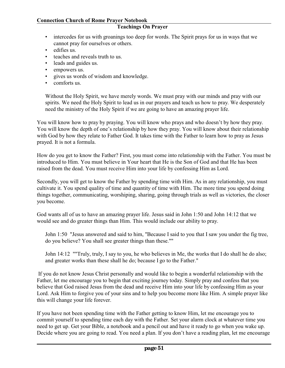#### **Teachings On Prayer**

- intercedes for us with groanings too deep for words. The Spirit prays for us in ways that we cannot pray for ourselves or others.
- edifies us.
- teaches and reveals truth to us.
- leads and guides us.
- empowers us.
- gives us words of wisdom and knowledge.
- comforts us.

Without the Holy Spirit, we have merely words. We must pray with our minds and pray with our spirits. We need the Holy Spirit to lead us in our prayers and teach us how to pray. We desperately need the ministry of the Holy Spirit if we are going to have an amazing prayer life.

You will know how to pray by praying. You will know who prays and who doesn't by how they pray. You will know the depth of one's relationship by how they pray. You will know about their relationship with God by how they relate to Father God. It takes time with the Father to learn how to pray as Jesus prayed. It is not a formula.

How do you get to know the Father? First, you must come into relationship with the Father. You must be introduced to Him. You must believe in Your heart that He is the Son of God and that He has been raised from the dead. You must receive Him into your life by confessing Him as Lord.

Secondly, you will get to know the Father by spending time with Him. As in any relationship, you must cultivate it. You spend quality of time and quantity of time with Him. The more time you spend doing things together, communicating, worshiping, sharing, going through trials as well as victories, the closer you become.

God wants all of us to have an amazing prayer life. Jesus said in John 1:50 and John 14:12 that we would see and do greater things than Him. This would include our ability to pray.

John 1:50 "Jesus answered and said to him, "Because I said to you that I saw you under the fig tree, do you believe? You shall see greater things than these.""

John 14:12 ""Truly, truly, I say to you, he who believes in Me, the works that I do shall he do also; and greater works than these shall he do; because I go to the Father."

 If you do not know Jesus Christ personally and would like to begin a wonderful relationship with the Father, let me encourage you to begin that exciting journey today. Simply pray and confess that you believe that God raised Jesus from the dead and receive Him into your life by confessing Him as your Lord. Ask Him to forgive you of your sins and to help you become more like Him. A simple prayer like this will change your life forever.

If you have not been spending time with the Father getting to know Him, let me encourage you to commit yourself to spending time each day with the Father. Set your alarm clock at whatever time you need to get up. Get your Bible, a notebook and a pencil out and have it ready to go when you wake up. Decide where you are going to read. You need a plan. If you don't have a reading plan, let me encourage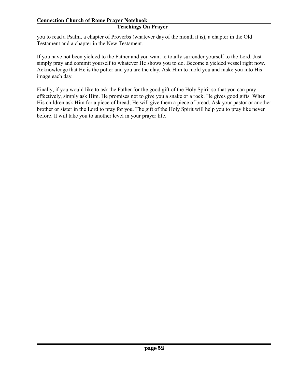#### **Teachings On Prayer**

you to read a Psalm, a chapter of Proverbs (whatever day of the month it is), a chapter in the Old Testament and a chapter in the New Testament.

If you have not been yielded to the Father and you want to totally surrender yourself to the Lord. Just simply pray and commit yourself to whatever He shows you to do. Become a yielded vessel right now. Acknowledge that He is the potter and you are the clay. Ask Him to mold you and make you into His image each day.

Finally, if you would like to ask the Father for the good gift of the Holy Spirit so that you can pray effectively, simply ask Him. He promises not to give you a snake or a rock. He gives good gifts. When His children ask Him for a piece of bread, He will give them a piece of bread. Ask your pastor or another brother or sister in the Lord to pray for you. The gift of the Holy Spirit will help you to pray like never before. It will take you to another level in your prayer life.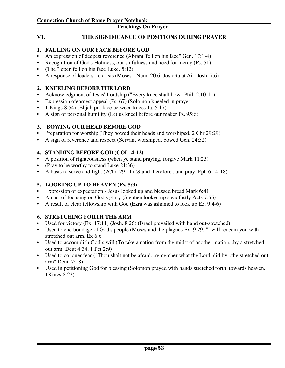**V1. THE SIGNIFICANCE OF POSITIONS DURING PRAYER**

# **1. FALLING ON OUR FACE BEFORE GOD**

- An expression of deepest reverence (Abram 'fell on his face" Gen. 17:1-4)
- Recognition of God's Holiness, our sinfulness and need for mercy (Ps. 51)
- (The "leper"fell on his face Luke. 5:12)
- A response of leaders to crisis (Moses Num. 20:6; Josh~ta at Ai Josh. 7:6)

# **2. KNEELING BEFORE THE LORD**

- Acknowledgment of Jesus' Lordship ("Every knee shall bow" Phil. 2:10-11)
- Expression ofearnest appeal (Ps. 67) (Solomon kneeled in prayer
- 1 Kings 8:54) (Elijah put face between knees Ja. 5:17)
- A sign of personal humility (Let us kneel before our maker Ps. 95:6)

# **3. BOWING OUR HEAD BEFORE GOD**

- Preparation for worship (They bowed their heads and worshiped. 2 Chr 29:29)
- A sign of reverence and respect (Servant worshiped, bowed Gen. 24:52)

# **4. STANDING BEFORE GOD (COL. 4:12)**

- A position of righteousness (when ye stand praying, forgive Mark 11:25)
- (Pray to be worthy to stand Luke 21:36)
- A basis to serve and fight (2Chr. 29:11) (Stand therefore...and pray Eph 6:14-18)

# **5. LOOKING UP TO HEAVEN (Ps. 5:3)**

- Expression of expectation Jesus looked up and blessed bread Mark 6:41
- An act of focusing on God's glory (Stephen looked up steadfastly Acts 7:55)
- A result of clear fellowship with God (Ezra was ashamed to look up Ez. 9:4-6)

# **6. STRETCHING FORTH THE ARM**

- Used for victory (Ex. 17:11) (Josh. 8:26) (Israel prevailed with hand out-stretched)
- Used to end bondage of God's people (Moses and the plagues Ex. 9:29, "I will redeem you with stretched out arm. Ex 6:6
- Used to accomplish God's will (To take a nation from the midst of another nation...by a stretched out arm. Deut 4:34, 1 Pet 2:9)
- Used to conquer fear ("Thou shalt not be afraid...remember what the Lord did by...the stretched out arm" Deut. 7:18)
- Used in petitioning God for blessing (Solomon prayed with hands stretched forth towards heaven. 1Kings 8:22)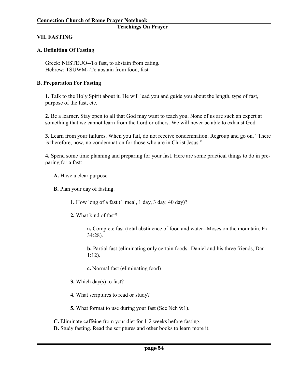#### **VII. FASTING**

#### **A. Definition Of Fasting**

Greek: NESTEUO--To fast, to abstain from eating. Hebrew: TSUWM--To abstain from food, fast

#### **B. Preparation For Fasting**

**1.** Talk to the Holy Spirit about it. He will lead you and guide you about the length, type of fast, purpose of the fast, etc.

**2.** Be a learner. Stay open to all that God may want to teach you. None of us are such an expert at something that we cannot learn from the Lord or others. We will never be able to exhaust God.

**3.** Learn from your failures. When you fail, do not receive condemnation. Regroup and go on. "There is therefore, now, no condemnation for those who are in Christ Jesus."

**4.** Spend some time planning and preparing for your fast. Here are some practical things to do in preparing for a fast:

**A.** Have a clear purpose.

**B.** Plan your day of fasting.

**1.** How long of a fast (1 meal, 1 day, 3 day, 40 day)?

**2.** What kind of fast?

**a.** Complete fast (total abstinence of food and water--Moses on the mountain, Ex 34:28).

**b.** Partial fast (eliminating only certain foods--Daniel and his three friends, Dan 1:12).

**c.** Normal fast (eliminating food)

**3.** Which day(s) to fast?

**4.** What scriptures to read or study?

**5.** What format to use during your fast (See Neh 9:1).

**C.** Eliminate caffeine from your diet for 1-2 weeks before fasting.

**D.** Study fasting. Read the scriptures and other books to learn more it.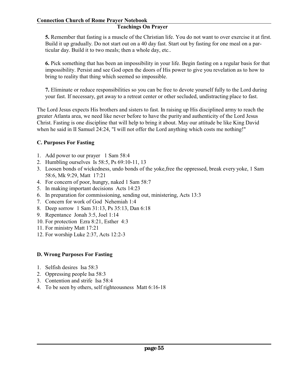# **Teachings On Prayer**

**5.** Remember that fasting is a muscle of the Christian life. You do not want to over exercise it at first. Build it up gradually. Do not start out on a 40 day fast. Start out by fasting for one meal on a particular day. Build it to two meals; then a whole day, etc..

**6.** Pick something that has been an impossibility in your life. Begin fasting on a regular basis for that impossibility. Persist and see God open the doors of His power to give you revelation as to how to bring to reality that thing which seemed so impossible.

**7.** Eliminate or reduce responsibilities so you can be free to devote yourself fully to the Lord during your fast. If necessary, get away to a retreat center or other secluded, undistracting place to fast.

The Lord Jesus expects His brothers and sisters to fast. In raising up His disciplined army to reach the greater Atlanta area, we need like never before to have the purity and authenticity of the Lord Jesus Christ. Fasting is one discipline that will help to bring it about. May our attitude be like King David when he said in II Samuel 24:24, "I will not offer the Lord anything which costs me nothing!"

#### **C. Purposes For Fasting**

- 1. Add power to our prayer 1 Sam 58:4
- 2. Humbling ourselves Is 58:5, Ps 69:10-11, 13
- 3. Loosen bonds of wickedness, undo bonds of the yoke,free the oppressed, break every yoke, 1 Sam 58:6, Mk 9:29, Matt 17:21
- 4. For concern of poor, hungry, naked 1 Sam 58:7
- 5. In making important decisions Acts 14:23
- 6. In preparation for commissioning, sending out, ministering, Acts 13:3
- 7. Concern for work of God Nehemiah 1:4
- 8. Deep sorrow 1 Sam 31:13, Ps 35:13, Dan 6:18
- 9. Repentance Jonah 3:5, Joel 1:14
- 10. For protection Ezra 8:21, Esther 4:3
- 11. For ministry Matt 17:21
- 12. For worship Luke 2:37, Acts 12:2-3

# **D. Wrong Purposes For Fasting**

- 1. Selfish desires Isa 58:3
- 2. Oppressing people Isa 58:3
- 3. Contention and strife Isa 58:4
- 4. To be seen by others, self righteousness Matt 6:16-18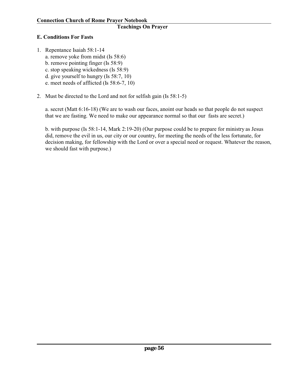# **E. Conditions For Fasts**

- 1. Repentance Isaiah 58:1-14 a. remove yoke from midst (Is 58:6) b. remove pointing finger (Is 58:9) c. stop speaking wickedness (Is 58:9) d. give yourself to hungry (Is 58:7, 10) e. meet needs of afflicted (Is 58:6-7, 10)
- 2. Must be directed to the Lord and not for selfish gain (Is 58:1-5)

a. secret (Matt 6:16-18) (We are to wash our faces, anoint our heads so that people do not suspect that we are fasting. We need to make our appearance normal so that our fasts are secret.)

b. with purpose (Is 58:1-14, Mark 2:19-20) (Our purpose could be to prepare for ministry as Jesus did, remove the evil in us, our city or our country, for meeting the needs of the less fortunate, for decision making, for fellowship with the Lord or over a special need or request. Whatever the reason, we should fast with purpose.)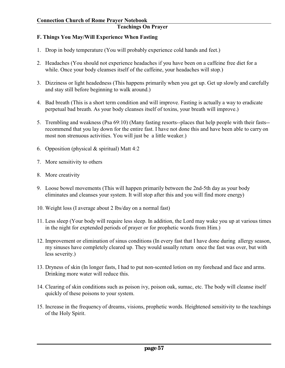#### **F. Things You May/Will Experience When Fasting**

- 1. Drop in body temperature (You will probably experience cold hands and feet.)
- 2. Headaches (You should not experience headaches if you have been on a caffeine free diet for a while. Once your body cleanses itself of the caffeine, your headaches will stop.)
- 3. Dizziness or light headedness (This happens primarily when you get up. Get up slowly and carefully and stay still before beginning to walk around.)
- 4. Bad breath (This is a short term condition and will improve. Fasting is actually a way to eradicate perpetual bad breath. As your body cleanses itself of toxins, your breath will improve.)
- 5. Trembling and weakness (Psa 69:10) (Many fasting resorts--places that help people with their fasts- recommend that you lay down for the entire fast. I have not done this and have been able to carry on most non strenuous activities. You will just be a little weaker.)
- 6. Opposition (physical  $&$  spiritual) Matt 4:2
- 7. More sensitivity to others
- 8. More creativity
- 9. Loose bowel movements (This will happen primarily between the 2nd-5th day as your body eliminates and cleanses your system. It will stop after this and you will find more energy)
- 10. Weight loss (I average about 2 lbs/day on a normal fast)
- 11. Less sleep (Your body will require less sleep. In addition, the Lord may wake you up at various times in the night for exptended periods of prayer or for prophetic words from Him.)
- 12. Improvement or elimination of sinus conditions (In every fast that I have done during allergy season, my sinuses have completely cleared up. They would usually return once the fast was over, but with less severity.)
- 13. Dryness of skin (In longer fasts, I had to put non-scented lotion on my forehead and face and arms. Drinking more water will reduce this.
- 14. Clearing of skin conditions such as poison ivy, poison oak, sumac, etc. The body will cleanse itself quickly of these poisons to your system.
- 15. Increase in the frequency of dreams, visions, prophetic words. Heightened sensitivity to the teachings of the Holy Spirit.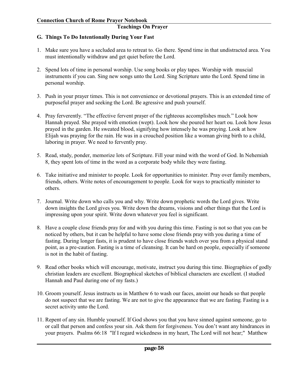# **G. Things To Do Intentionally During Your Fast**

- 1. Make sure you have a secluded area to retreat to. Go there. Spend time in that undistracted area. You must intentionally withdraw and get quiet before the Lord.
- 2. Spend lots of time in personal worship. Use song books or play tapes. Worship with muscial instruments if you can. Sing new songs unto the Lord. Sing Scripture unto the Lord. Spend time in personal worship.
- 3. Push in your prayer times. This is not convenience or devotional prayers. This is an extended time of purposeful prayer and seeking the Lord. Be agressive and push yourself.
- 4. Pray ferverently. "The effective fervent prayer of the righteous accomplishes much." Look how Hannah prayed. She prayed with emotion (wept). Look how she poured her heart ou. Look how Jesus prayed in the garden. He sweated blood, signifying how intensely he was praying. Look at how Elijah was praying for the rain. He was in a crouched position like a woman giving birth to a child, laboring in prayer. We need to fervently pray.
- 5. Read, study, ponder, memorize lots of Scripture. Fill your mind with the word of God. In Nehemiah 8, they spent lots of time in the word as a corporate body while they were fasting.
- 6. Take initiative and minister to people. Look for opportunities to minister. Pray over family members, friends, others. Write notes of encouragement to people. Look for ways to practically minister to others.
- 7. Journal. Write down who calls you and why. Write down prophetic words the Lord gives. Write down insights the Lord gives you. Write down the dreams, visions and other things that the Lord is impressing upon your spirit. Write down whatever you feel is significant.
- 8. Have a couple close friends pray for and with you during this time. Fasting is not so that you can be noticed by others, but it can be helpful to have some close friends pray with you during a time of fasting. During longer fasts, it is prudent to have close friends watch over you from a physical stand point, as a pre-caution. Fasting is a time of cleansing. It can be hard on people, especially if someone is not in the habit of fasting.
- 9. Read other books which will encourage, motivate, instruct you during this time. Biographies of godly christian leaders are excellent. Biographical sketches of biblical characters are excellent. (I studied Hannah and Paul during one of my fasts.)
- 10. Groom yourself. Jesus instructs us in Matthew 6 to wash our faces, anoint our heads so that people do not suspect that we are fasting. We are not to give the appearance that we are fasting. Fasting is a secret activity unto the Lord.
- 11. Repent of any sin. Humble yourself. If God shows you that you have sinned against someone, go to or call that person and confess your sin. Ask them for forgiveness. You don't want any hindrances in your prayers. Psalms 66:18 "If I regard wickedness in my heart, The Lord will not hear;" Matthew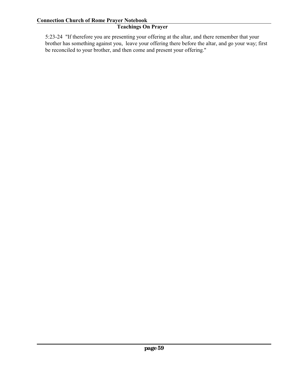5:23-24 "If therefore you are presenting your offering at the altar, and there remember that your brother has something against you, leave your offering there before the altar, and go your way; first be reconciled to your brother, and then come and present your offering."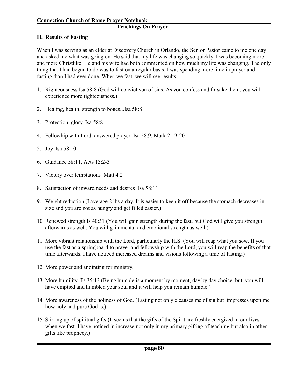#### **H. Results of Fasting**

When I was serving as an elder at Discovery Church in Orlando, the Senior Pastor came to me one day and asked me what was going on. He said that my life was changing so quickly. I was becoming more and more Christlike. He and his wife had both commented on how much my life was changing. The only thing that I had begun to do was to fast on a regular basis. I was spending more time in prayer and fasting than I had ever done. When we fast, we will see results.

- 1. Righteousness Isa 58:8 (God will convict you of sins. As you confess and forsake them, you will experience more righteousness.)
- 2. Healing, health, strength to bones...Isa 58:8
- 3. Protection, glory Isa 58:8
- 4. Fellowhip with Lord, answered prayer Isa 58:9, Mark 2:19-20
- 5. Joy Isa 58:10
- 6. Guidance 58:11, Acts 13:2-3
- 7. Victory over temptations Matt 4:2
- 8. Satisfaction of inward needs and desires Isa 58:11
- 9. Weight reduction (I average 2 lbs a day. It is easier to keep it off because the stomach decreases in size and you are not as hungry and get filled easier.)
- 10. Renewed strength Is 40:31 (You will gain strength during the fast, but God will give you strength afterwards as well. You will gain mental and emotional strength as well.)
- 11. More vibrant relationship with the Lord, particularly the H.S. (You will reap what you sow. If you use the fast as a springboard to prayer and fellowship with the Lord, you will reap the benefits of that time afterwards. I have noticed increased dreams and visions following a time of fasting.)
- 12. More power and anointing for ministry.
- 13. More humility. Ps 35:13 (Being humble is a moment by moment, day by day choice, but you will have emptied and humbled your soul and it will help you remain humble.)
- 14. More awareness of the holiness of God. (Fasting not only cleanses me of sin but impresses upon me how holy and pure God is.)
- 15. Stirring up of spiritual gifts (It seems that the gifts of the Spirit are freshly energized in our lives when we fast. I have noticed in increase not only in my primary gifting of teaching but also in other gifts like prophecy.)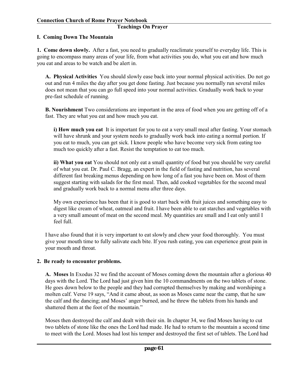#### **I. Coming Down The Mountain**

**1. Come down slowly.** After a fast, you need to gradually reaclimate yourself to everyday life. This is going to encompass many areas of your life, from what activities you do, what you eat and how much you eat and areas to be watch and be alert in.

**A. Physical Activities** You should slowly ease back into your normal physical activities. Do not go out and run 4 miles the day after you get done fasting. Just because you normally run several miles does not mean that you can go full speed into your normal activities. Gradually work back to your pre-fast schedule of running.

**B. Nourishment** Two considerations are important in the area of food when you are getting off of a fast. They are what you eat and how much you eat.

**i) How much you eat** It is important for you to eat a very small meal after fasting. Your stomach will have shrunk and your system needs to gradually work back into eating a normal portion. If you eat to much, you can get sick. I know people who have become very sick from eating too much too quickly after a fast. Resist the temptation to eat too much.

**ii) What you eat** You should not only eat a small quantity of food but you should be very careful of what you eat. Dr. Paul C. Bragg, an expert in the field of fasting and nutrition, has several different fast breaking menus depending on how long of a fast you have been on. Most of them suggest starting with salads for the first meal. Then, add cooked vegetables for the second meal and gradually work back to a normal menu after three days.

My own experience has been that it is good to start back with fruit juices and something easy to digest like cream of wheat, oatmeal and fruit. I have been able to eat starches and vegetables with a very small amount of meat on the second meal. My quantities are small and I eat only until I feel full.

I have also found that it is very important to eat slowly and chew your food thoroughly. You must give your mouth time to fully salivate each bite. If you rush eating, you can experience great pain in your mouth and throat.

#### **2. Be ready to encounter problems.**

**A. Moses** In Exodus 32 we find the account of Moses coming down the mountain after a glorious 40 days with the Lord. The Lord had just given him the 10 commandments on the two tablets of stone. He goes down below to the people and they had corrupted themselves by making and worshiping a molten calf. Verse 19 says, "And it came about, as soon as Moses came near the camp, that he saw the calf and the dancing; and Moses' anger burned, and he threw the tablets from his hands and shattered them at the foot of the mountain."

Moses then destroyed the calf and dealt with their sin. In chapter 34, we find Moses having to cut two tablets of stone like the ones the Lord had made. He had to return to the mountain a second time to meet with the Lord. Moses had lost his temper and destroyed the first set of tablets. The Lord had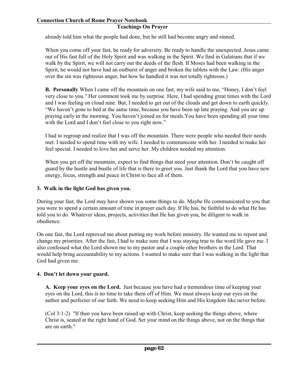already told him what the people had done, but he still had become angry and sinned.

When you come off your fast, be ready for adversity. Be ready to handle the unexpected. Jesus came out of His fast full of the Holy Spirit and was walking in the Spirit. We find in Galatians that if we walk by the Spirit, we will not carry out the deeds of the flesh. If Moses had been walking in the Spirit, he would not have had an outburst of anger and broken the tablets with the Law. (His anger over the sin was righteous anger, but how he handled it was not totally righteous.)

**B. Personally** When I came off the mountain on one fast, my wife said to me, "Honey, I don't feel very close to you." Her comment took me by surprise. Here, I had spending great times with the Lord and I was feeling on cloud nine. But, I needed to get out of the clouds and get down to earth quickly. "We haven't gone to bed at the same time, because you have been up late praying. And you are up praying early in the morning. You haven't joined us for meals.You have been spending all your time with the Lord and I don't feel close to you right now."

I had to regroup and realize that I was off the mountain. There were people who needed their needs met. I needed to spend time with my wife. I needed to communicate with her. I needed to make her feel special. I needed to love her and serve her. My children needed my attention.

When you get off the mountain, expect to find things that need your attention. Don't be caught off guard by the hustle and bustle of life that is there to greet you. Just thank the Lord that you have new energy, focus, strength and peace in Christ to face all of them.

# **3. Walk in the light God has given you.**

During your fast, the Lord may have shown you some things to do. Maybe He communicated to you that you were to spend a certain amount of time in prayer each day. If He has, be faithful to do what He has told you to do. Whatever ideas, projects, activities that He has given you, be diligent to walk in obedience.

On one fast, the Lord reproved me about putting my work before ministry. He wanted me to repent and change my priorities. After the fast, I had to make sure that I was staying true to the word He gave me. I also confessed what the Lord shown me to my pastor and a couple other brothers in the Lord. That would help bring accountability to my actions. I wanted to make sure that I was walking in the light that God had given me.

# **4. Don't let down your guard.**

**A. Keep your eyes on the Lord.** Just because you have had a tremendous time of keeping your eyes on the Lord, this is no time to take them off of Him. We must always keep our eyes on the author and perfecter of our faith. We need to keep seeking Him and His kingdom like never before.

(Col 3:1-2) "If then you have been raised up with Christ, keep seeking the things above, where Christ is, seated at the right hand of God. Set your mind on the things above, not on the things that are on earth."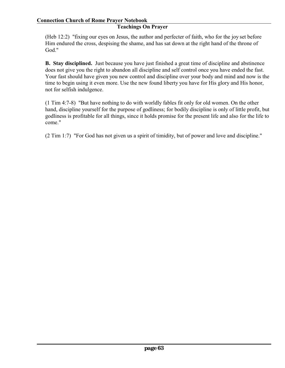(Heb 12:2) "fixing our eyes on Jesus, the author and perfecter of faith, who for the joy set before Him endured the cross, despising the shame, and has sat down at the right hand of the throne of God."

**B. Stay disciplined.** Just because you have just finished a great time of discipline and abstinence does not give you the right to abandon all discipline and self control once you have ended the fast. Your fast should have given you new control and discipline over your body and mind and now is the time to begin using it even more. Use the new found liberty you have for His glory and His honor, not for selfish indulgence.

(1 Tim 4:7-8) "But have nothing to do with worldly fables fit only for old women. On the other hand, discipline yourself for the purpose of godliness; for bodily discipline is only of little profit, but godliness is profitable for all things, since it holds promise for the present life and also for the life to come."

(2 Tim 1:7) "For God has not given us a spirit of timidity, but of power and love and discipline."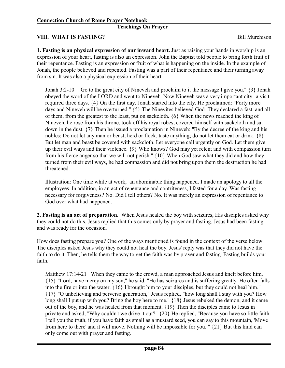#### **VIII. WHAT IS FASTING?** Bill Murchison

**1. Fasting is an physical expression of our inward heart.** Just as raising your hands in worship is an expression of your heart, fasting is also an expression. John the Baptist told people to bring forth fruit of their repentance. Fasting is an expression or fruit of what is happening on the inside. In the example of Jonah, the people believed and repented. Fasting was a part of their repentance and their turning away from sin. It was also a physical expression of their heart.

Jonah 3:2-10 "Go to the great city of Nineveh and proclaim to it the message I give you." {3} Jonah obeyed the word of the LORD and went to Nineveh. Now Nineveh was a very important city--a visit required three days. {4} On the first day, Jonah started into the city. He proclaimed: "Forty more days and Nineveh will be overturned." {5} The Ninevites believed God. They declared a fast, and all of them, from the greatest to the least, put on sackcloth. {6} When the news reached the king of Nineveh, he rose from his throne, took off his royal robes, covered himself with sackcloth and sat down in the dust. {7} Then he issued a proclamation in Nineveh: "By the decree of the king and his nobles: Do not let any man or beast, herd or flock, taste anything; do not let them eat or drink. {8} But let man and beast be covered with sackcloth. Let everyone call urgently on God. Let them give up their evil ways and their violence. {9} Who knows? God may yet relent and with compassion turn from his fierce anger so that we will not perish." {10} When God saw what they did and how they turned from their evil ways, he had compassion and did not bring upon them the destruction he had threatened.

Illustration: One time while at work, an abominable thing happened. I made an apology to all the employees. In addition, in an act of repentance and contriteness, I fasted for a day. Was fasting necessary for forgiveness? No. Did I tell others? No. It was merely an expression of repentance to God over what had happened.

**2. Fasting is an act of preparation.** When Jesus healed the boy with seizures, His disciples asked why they could not do this. Jesus replied that this comes only by prayer and fasting. Jesus had been fasting and was ready for the occasion.

How does fasting prepare you? One of the ways mentioned is found in the context of the verse below. The disciples asked Jesus why they could not heal the boy. Jesus' reply was that they did not have the faith to do it. Then, he tells them the way to get the faith was by prayer and fasting. Fasting builds your faith.

Matthew 17:14-21 When they came to the crowd, a man approached Jesus and knelt before him. {15} "Lord, have mercy on my son," he said. "He has seizures and is suffering greatly. He often falls into the fire or into the water. {16} I brought him to your disciples, but they could not heal him." {17} "O unbelieving and perverse generation," Jesus replied, "how long shall I stay with you? How long shall I put up with you? Bring the boy here to me."  $\{18\}$  Jesus rebuked the demon, and it came out of the boy, and he was healed from that moment. {19} Then the disciples came to Jesus in private and asked, "Why couldn't we drive it out?" {20} He replied, "Because you have so little faith. I tell you the truth, if you have faith as small as a mustard seed, you can say to this mountain, 'Move from here to there' and it will move. Nothing will be impossible for you. " {21} But this kind can only come out with prayer and fasting.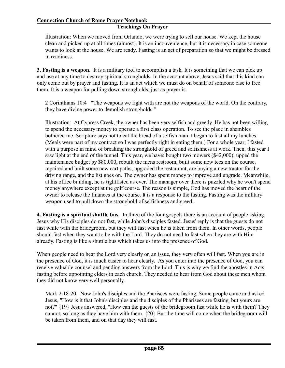#### **Teachings On Prayer**

Illustration: When we moved from Orlando, we were trying to sell our house. We kept the house clean and picked up at all times (almost). It is an inconvenience, but it is necessary in case someone wants to look at the house. We are ready. Fasting is an act of preparation so that we might be dressed in readiness.

**3. Fasting is a weapon.** It is a military tool to accomplish a task. It is something that we can pick up and use at any time to destroy spiritual strongholds. In the account above, Jesus said that this kind can only come out by prayer and fasting. It is an act which we must do on behalf of someone else to free them. It is a weapon for pulling down strongholds, just as prayer is.

2 Corinthians 10:4 "The weapons we fight with are not the weapons of the world. On the contrary, they have divine power to demolish strongholds."

Illustration: At Cypress Creek, the owner has been very selfish and greedy. He has not been willing to spend the necessary money to operate a first class operation. To see the place in shambles bothered me. Scripture says not to eat the bread of a selfish man. I began to fast all my lunches. (Meals were part of my contract so I was perfectly right in eating them.) For a whole year, I fasted with a purpose in mind of breaking the stronghold of greed and selfishness at work. Then, this year I saw light at the end of the tunnel. This year, we have: bought two mowers (\$42,000), upped the maintenance budget by \$80,000, rebuilt the mens restroom, built some new tees on the course, repaired and built some new cart paths, upgraded the restaurant, are buying a new tractor for the driving range, and the list goes on. The owner has spent money to improve and upgrade. Meanwhile, at his office building, he is tightfisted as ever. The manager over there is puzzled why he won't spend money anywhere except at the golf course. The reason is simple, God has moved the heart of the owner to release the finances at the course. It is a response to the fasting. Fasting was the military weapon used to pull down the stronghold of selfishness and greed.

**4. Fasting is a spiritual shuttle bus.** In three of the four gospels there is an account of people asking Jesus why His disciples do not fast, while John's disciples fasted. Jesus' reply is that the guests do not fast while with the bridegroom, but they will fast when he is taken from them. In other words, people should fast when they want to be with the Lord. They do not need to fast when they are with Him already. Fasting is like a shuttle bus which takes us into the presence of God.

When people need to hear the Lord very clearly on an issue, they very often will fast. When you are in the presence of God, it is much easier to hear clearly. As you enter into the presence of God, you can receive valuable counsel and pending answers from the Lord. This is why we find the apostles in Acts fasting before appointing elders in each church. They needed to hear from God about these men whom they did not know very well personally.

Mark 2:18-20 Now John's disciples and the Pharisees were fasting. Some people came and asked Jesus, "How is it that John's disciples and the disciples of the Pharisees are fasting, but yours are not?" {19} Jesus answered, "How can the guests of the bridegroom fast while he is with them? They cannot, so long as they have him with them. {20} But the time will come when the bridegroom will be taken from them, and on that day they will fast.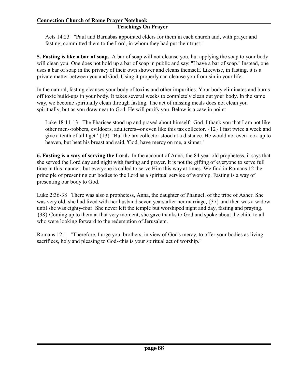#### **Teachings On Prayer**

Acts 14:23 "Paul and Barnabas appointed elders for them in each church and, with prayer and fasting, committed them to the Lord, in whom they had put their trust."

**5. Fasting is like a bar of soap.** A bar of soap will not cleanse you, but applying the soap to your body will clean you. One does not hold up a bar of soap in public and say: "I have a bar of soap." Instead, one uses a bar of soap in the privacy of their own shower and cleans themself. Likewise, in fasting, it is a private matter between you and God. Using it properly can cleanse you from sin in your life.

In the natural, fasting cleanses your body of toxins and other impurities. Your body eliminates and burns off toxic build-ups in your body. It takes several weeks to completely clean out your body. In the same way, we become spiritually clean through fasting. The act of missing meals does not clean you spiritually, but as you draw near to God, He will purify you. Below is a case in point:

Luke 18:11-13 The Pharisee stood up and prayed about himself: 'God, I thank you that I am not like other men--robbers, evildoers, adulterers--or even like this tax collector. {12} I fast twice a week and give a tenth of all I get.' {13} "But the tax collector stood at a distance. He would not even look up to heaven, but beat his breast and said, 'God, have mercy on me, a sinner.'

**6. Fasting is a way of serving the Lord.** In the account of Anna, the 84 year old prophetess, it says that she served the Lord day and night with fasting and prayer. It is not the gifting of everyone to serve full time in this manner, but everyone is called to serve Him this way at times. We find in Romans 12 the principle of presenting our bodies to the Lord as a spiritual service of worship. Fasting is a way of presenting our body to God.

Luke 2:36-38 There was also a prophetess, Anna, the daughter of Phanuel, of the tribe of Asher. She was very old; she had lived with her husband seven years after her marriage, {37} and then was a widow until she was eighty-four. She never left the temple but worshiped night and day, fasting and praying. {38} Coming up to them at that very moment, she gave thanks to God and spoke about the child to all who were looking forward to the redemption of Jerusalem.

Romans 12:1 "Therefore, I urge you, brothers, in view of God's mercy, to offer your bodies as living sacrifices, holy and pleasing to God--this is your spiritual act of worship."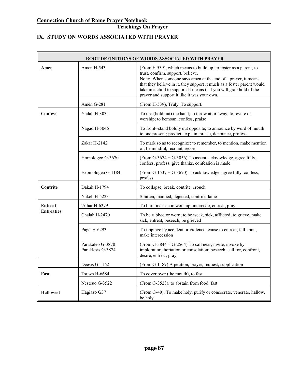# **IX. STUDY ON WORDS ASSOCIATED WITH PRAYER**

|                   | ROOT DEFINITIONS OF WORDS ASSOCIATED WITH PRAYER |                                                                                                                                                                                                                                                                                                                                                                        |  |
|-------------------|--------------------------------------------------|------------------------------------------------------------------------------------------------------------------------------------------------------------------------------------------------------------------------------------------------------------------------------------------------------------------------------------------------------------------------|--|
| Amen              | Amen H-543                                       | (From H 539), which means to build up, to foster as a parent, to<br>trust, confirm, support, believe.<br>Note: When someone says amen at the end of a prayer, it means<br>that they believe in it, they support it much as a foster parent would<br>take in a child to support. It means that you will grab hold of the<br>prayer and support it like it was your own. |  |
|                   | Amen G-281                                       | (From H-539), Truly, To support.                                                                                                                                                                                                                                                                                                                                       |  |
| <b>Confess</b>    | Yadah H-3034                                     | To use (hold out) the hand; to throw at or away; to revere or<br>worship; to bemoan, confess, praise                                                                                                                                                                                                                                                                   |  |
|                   | Nagad H-5046                                     | To front-stand boldly out opposite; to announce by word of mouth<br>to one present; predict, explain, praise, denounce, profess                                                                                                                                                                                                                                        |  |
|                   | Zakar H-2142                                     | To mark so as to recognize; to remember, to mention, make mention<br>of; be mindful, recount, record                                                                                                                                                                                                                                                                   |  |
|                   | Homologeo G-3670                                 | (From G-3674 + G-3056) To assent, acknowledge, agree fully,<br>confess, profess, give thanks, confession is made                                                                                                                                                                                                                                                       |  |
|                   | Exomologeo G-1184                                | (From G-1537 + G-3670) To acknowledge, agree fully, confess,<br>profess                                                                                                                                                                                                                                                                                                |  |
| Contrite          | Dakah H-1794                                     | To collapse, break, contrite, crouch                                                                                                                                                                                                                                                                                                                                   |  |
|                   | Nakeh H-5223                                     | Smitten, maimed, dejected, contrite, lame                                                                                                                                                                                                                                                                                                                              |  |
| <b>Entreat</b>    | 'Athar H-6279                                    | To burn incense in worship, intercede, entreat, pray                                                                                                                                                                                                                                                                                                                   |  |
| <b>Entreaties</b> | Chalah H-2470                                    | To be rubbed or worn; to be weak, sick, afflicted; to grieve, make<br>sick, entreat, beseech, be grieved                                                                                                                                                                                                                                                               |  |
|                   | Paga' H-6293                                     | To impinge by accident or violence; cause to entreat, fall upon,<br>make intercession                                                                                                                                                                                                                                                                                  |  |
|                   | Parakaleo G-3870<br>Paraklesis G-3874            | (From G-3844 + G-2564) To call near, invite, invoke by<br>imploration, hortation or consolation; beseech, call for, confront,<br>desire, entreat, pray                                                                                                                                                                                                                 |  |
|                   | Deesis G-1162                                    | (From G-1189) A petition, prayer, request, supplication                                                                                                                                                                                                                                                                                                                |  |
| Fast              | Tsuwn H-6684                                     | To cover over (the mouth), to fast                                                                                                                                                                                                                                                                                                                                     |  |
|                   | Nesteuo G-3522                                   | (From G-3523), to abstain from food, fast                                                                                                                                                                                                                                                                                                                              |  |
| <b>Hallowed</b>   | Hagiazo G37                                      | (From G-40), To make holy, purify or consecrate, venerate, hallow,<br>be holy                                                                                                                                                                                                                                                                                          |  |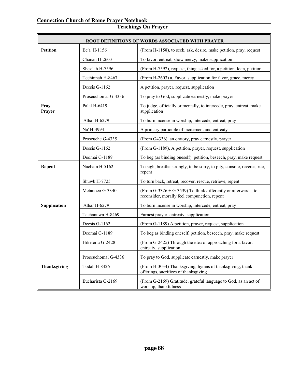| <b>ROOT DEFINITIONS OF WORDS ASSOCIATED WITH PRAYER</b> |                     |                                                                                                               |
|---------------------------------------------------------|---------------------|---------------------------------------------------------------------------------------------------------------|
| <b>Petition</b>                                         | Be'a' H-1156        | (From H-1158), to seek, ask, desire, make petition, pray, request                                             |
|                                                         | Chanan H-2603       | To favor, entreat, show mercy, make supplication                                                              |
|                                                         | She'elah H-7596     | (From H-7592), request, thing asked for, a petition, loan, petition                                           |
|                                                         | Techinnah H-8467    | (From H-2603) a, Favor, supplication for favor, grace, mercy                                                  |
|                                                         | Deesis G-1162       | A petition, prayer, request, supplication                                                                     |
|                                                         | Proseuchomai G-4336 | To pray to God, supplicate earnestly, make prayer                                                             |
| Pray<br>Prayer                                          | Palal H-6419        | To judge, officially or mentally, to intercede, pray, entreat, make<br>supplication                           |
|                                                         | 'Athar H-6279       | To burn incense in worship, intercede, entreat, pray                                                          |
|                                                         | Na' H-4994          | A primary participle of incitement and entreaty                                                               |
|                                                         | Proseuche G-4335    | (From G4336), an oratory, pray earnestly, prayer                                                              |
|                                                         | Deesis G-1162       | (From G-1189), A petition, prayer, request, supplication                                                      |
|                                                         | Deomai G-1189       | To beg (as binding oneself), petition, beseech, pray, make request                                            |
| Repent                                                  | Nacham H-5162       | To sigh, breathe strongly, to be sorry, to pity, console, reverse, rue,<br>repent                             |
|                                                         | Shuwb H-7725        | To turn back, retreat, recover, rescue, retrieve, repent                                                      |
|                                                         | Metanoeo G-3340     | (From G-3326 + G-3539) To think differently or afterwards, to<br>reconsider, morally feel compunction, repent |
| Supplication                                            | 'Athar H-6279       | To burn incense in worship, intercede, entreat, pray                                                          |
|                                                         | Tachanuwn H-8469    | Earnest prayer, entreaty, supplication                                                                        |
|                                                         | Deesis G-1162       | (From G-1189) A petition, prayer, request, supplication                                                       |
|                                                         | Deomai G-1189       | To beg as binding oneself, petition, beseech, pray, make request                                              |
|                                                         | Hiketeria G-2428    | (From G-2425) Through the idea of approaching for a favor,<br>entreaty, supplication                          |
|                                                         | Proseuchomai G-4336 | To pray to God, supplicate earnestly, make prayer                                                             |
| Thanksgiving                                            | Todah H-8426        | (From H-3034) Thanksgiving, hymns of thanksgiving, thank<br>offerings, sacrifices of thanksgiving             |
|                                                         | Eucharista G-2169   | (From G-2169) Gratitude, grateful language to God, as an act of<br>worship, thankfulness                      |

#### **Teachings On Prayer**